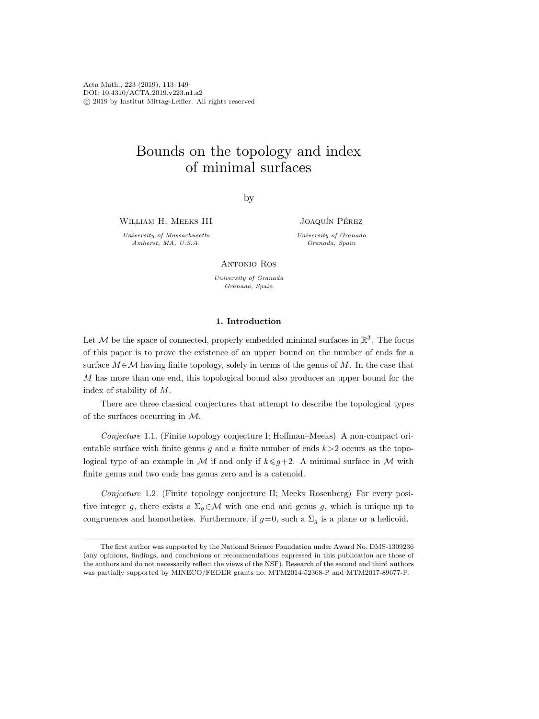Acta Math., 223 (2019), 113–149 DOI: 10.4310/ACTA.2019.v223.n1.a2 c 2019 by Institut Mittag-Leffler. All rights reserved

# Bounds on the topology and index of minimal surfaces

by

William H. Meeks III

University of Massachusetts Amherst, MA, U.S.A.

JOAQUÍN PÉREZ

University of Granada Granada, Spain

Antonio Ros

University of Granada Granada, Spain

## 1. Introduction

Let M be the space of connected, properly embedded minimal surfaces in  $\mathbb{R}^3$ . The focus of this paper is to prove the existence of an upper bound on the number of ends for a surface  $M \in \mathcal{M}$  having finite topology, solely in terms of the genus of M. In the case that M has more than one end, this topological bound also produces an upper bound for the index of stability of M.

There are three classical conjectures that attempt to describe the topological types of the surfaces occurring in M.

<span id="page-0-0"></span>Conjecture 1.1. (Finite topology conjecture I; Hoffman–Meeks) A non-compact orientable surface with finite genus g and a finite number of ends  $k > 2$  occurs as the topological type of an example in M if and only if  $k \leqslant g+2$ . A minimal surface in M with finite genus and two ends has genus zero and is a catenoid.

<span id="page-0-1"></span>Conjecture 1.2. (Finite topology conjecture II; Meeks–Rosenberg) For every positive integer g, there exists a  $\Sigma_q \in \mathcal{M}$  with one end and genus g, which is unique up to congruences and homotheties. Furthermore, if  $g=0$ , such a  $\Sigma_q$  is a plane or a helicoid.

The first author was supported by the National Science Foundation under Award No. DMS-1309236 (any opinions, findings, and conclusions or recommendations expressed in this publication are those of the authors and do not necessarily reflect the views of the NSF). Research of the second and third authors was partially supported by MINECO/FEDER grants no. MTM2014-52368-P and MTM2017-89677-P.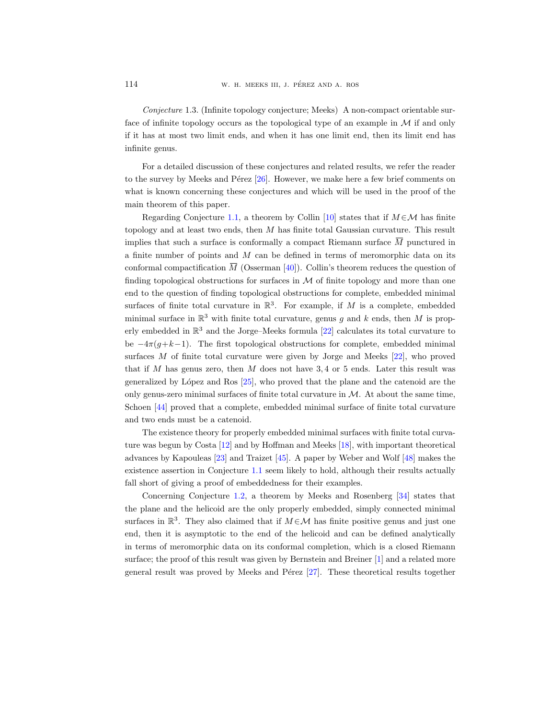<span id="page-1-0"></span>Conjecture 1.3. (Infinite topology conjecture; Meeks) A non-compact orientable surface of infinite topology occurs as the topological type of an example in  $\mathcal M$  if and only if it has at most two limit ends, and when it has one limit end, then its limit end has infinite genus. Conjecture 1.3. (Infinite topology conjecture; Meeks) A non-compact orientable surface of infinite topology occurs as the topological type of an example in  $M$  if and only if it has at most two limit ends, and when it has

For a detailed discussion of these conjectures and related results, we refer the reader to the survey by Meeks and Pérez  $[26]$ . However, we make here a few brief comments on what is known concerning these conjectures and which will be used in the proof of the main theorem of this paper.

Regarding Conjecture [1.1,](#page-0-0) a theorem by Collin [\[10\]](#page-34-1) states that if  $M \in \mathcal{M}$  has finite topology and at least two ends, then M has finite total Gaussian curvature. This result a finite number of points and M can be defined in terms of meromorphic data on its if it has at most two limit ends, and when it has one limit end, then its limit end has<br>infinite genus.<br>For a detailed discussion of these conjectures and related results, we refer the reader<br>to the survey by Meeks and Pé finding topological obstructions for surfaces in  $M$  of finite topology and more than one end to the question of finding topological obstructions for complete, embedded minimal surfaces of finite total curvature in  $\mathbb{R}^3$ . For example, if M is a complete, embedded minimal surface in  $\mathbb{R}^3$  with finite total curvature, genus g and k ends, then M is properly embedded in  $\mathbb{R}^3$  and the Jorge–Meeks formula [\[22\]](#page-34-2) calculates its total curvature to be  $-4\pi(q+k-1)$ . The first topological obstructions for complete, embedded minimal surfaces M of finite total curvature were given by Jorge and Meeks [\[22\]](#page-34-2), who proved that if  $M$  has genus zero, then  $M$  does not have 3,4 or 5 ends. Later this result was generalized by López and Ros  $[25]$ , who proved that the plane and the catenoid are the only genus-zero minimal surfaces of finite total curvature in  $M$ . At about the same time, Schoen [\[44\]](#page-35-1) proved that a complete, embedded minimal surface of finite total curvature and two ends must be a catenoid.

The existence theory for properly embedded minimal surfaces with finite total curvature was begun by Costa [\[12\]](#page-34-4) and by Hoffman and Meeks [\[18\]](#page-34-5), with important theoretical advances by Kapouleas [\[23\]](#page-34-6) and Traizet [\[45\]](#page-35-2). A paper by Weber and Wolf [\[48\]](#page-35-3) makes the existence assertion in Conjecture [1.1](#page-0-0) seem likely to hold, although their results actually fall short of giving a proof of embeddedness for their examples.

Concerning Conjecture [1.2,](#page-0-1) a theorem by Meeks and Rosenberg [\[34\]](#page-35-4) states that the plane and the helicoid are the only properly embedded, simply connected minimal surfaces in  $\mathbb{R}^3$ . They also claimed that if  $M \in \mathcal{M}$  has finite positive genus and just one end, then it is asymptotic to the end of the helicoid and can be defined analytically in terms of meromorphic data on its conformal completion, which is a closed Riemann surface; the proof of this result was given by Bernstein and Breiner [\[1\]](#page-33-0) and a related more general result was proved by Meeks and Pérez  $[27]$ . These theoretical results together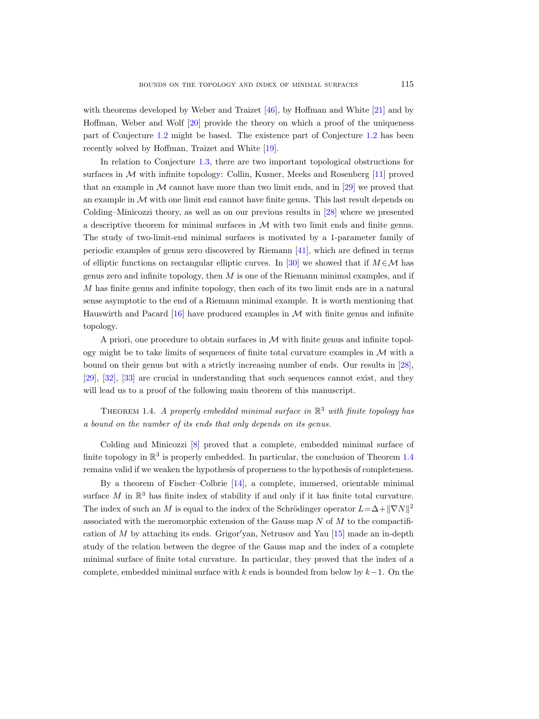with theorems developed by Weber and Traizet [\[46\]](#page-35-5), by Hoffman and White [\[21\]](#page-34-8) and by Hoffman, Weber and Wolf [\[20\]](#page-34-9) provide the theory on which a proof of the uniqueness part of Conjecture [1.2](#page-0-1) might be based. The existence part of Conjecture [1.2](#page-0-1) has been recently solved by Hoffman, Traizet and White [\[19\]](#page-34-10).

In relation to Conjecture [1.3,](#page-1-0) there are two important topological obstructions for surfaces in M with infinite topology: Collin, Kusner, Meeks and Rosenberg [\[11\]](#page-34-11) proved that an example in  $M$  cannot have more than two limit ends, and in [\[29\]](#page-35-6) we proved that an example in  $M$  with one limit end cannot have finite genus. This last result depends on Colding–Minicozzi theory, as well as on our previous results in [\[28\]](#page-34-12) where we presented a descriptive theorem for minimal surfaces in  $M$  with two limit ends and finite genus. The study of two-limit-end minimal surfaces is motivated by a 1-parameter family of periodic examples of genus zero discovered by Riemann [\[41\]](#page-35-7), which are defined in terms of elliptic functions on rectangular elliptic curves. In [\[30\]](#page-35-8) we showed that if  $M \in \mathcal{M}$  has genus zero and infinite topology, then  $M$  is one of the Riemann minimal examples, and if M has finite genus and infinite topology, then each of its two limit ends are in a natural sense asymptotic to the end of a Riemann minimal example. It is worth mentioning that Hauswirth and Pacard  $[16]$  have produced examples in M with finite genus and infinite topology.

A priori, one procedure to obtain surfaces in  $\mathcal M$  with finite genus and infinite topology might be to take limits of sequences of finite total curvature examples in  $M$  with a bound on their genus but with a strictly increasing number of ends. Our results in [\[28\]](#page-34-12), [\[29\]](#page-35-6), [\[32\]](#page-35-9), [\[33\]](#page-35-10) are crucial in understanding that such sequences cannot exist, and they will lead us to a proof of the following main theorem of this manuscript.

<span id="page-2-0"></span>THEOREM 1.4. A properly embedded minimal surface in  $\mathbb{R}^3$  with finite topology has a bound on the number of its ends that only depends on its genus.

Colding and Minicozzi [\[8\]](#page-34-14) proved that a complete, embedded minimal surface of finite topology in  $\mathbb{R}^3$  is properly embedded. In particular, the conclusion of Theorem [1.4](#page-2-0) remains valid if we weaken the hypothesis of properness to the hypothesis of completeness.

By a theorem of Fischer–Colbrie [\[14\]](#page-34-15), a complete, immersed, orientable minimal surface  $M$  in  $\mathbb{R}^3$  has finite index of stability if and only if it has finite total curvature. The index of such an M is equal to the index of the Schrödinger operator  $L = \Delta + ||\nabla N||^2$ associated with the meromorphic extension of the Gauss map  $N$  of  $M$  to the compactification of  $M$  by attaching its ends. Grigor'yan, Netrusov and Yau  $[15]$  made an in-depth study of the relation between the degree of the Gauss map and the index of a complete minimal surface of finite total curvature. In particular, they proved that the index of a complete, embedded minimal surface with k ends is bounded from below by  $k-1$ . On the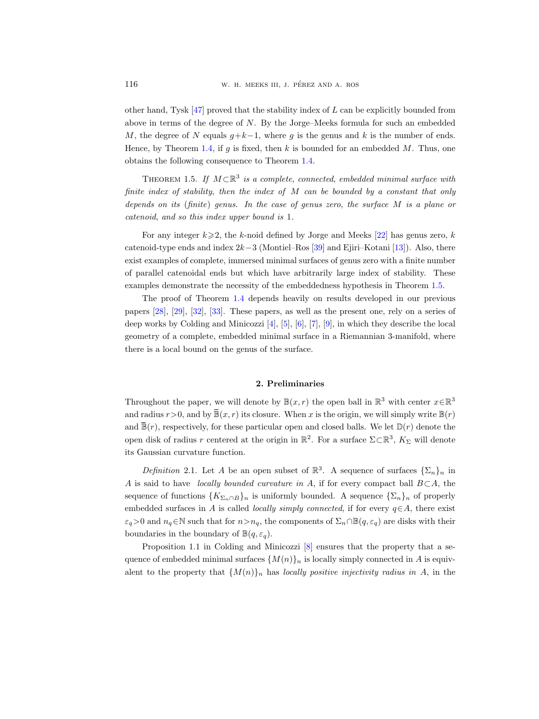other hand, Tysk  $[47]$  proved that the stability index of L can be explicitly bounded from above in terms of the degree of  $N$ . By the Jorge–Meeks formula for such an embedded M, the degree of N equals  $g+k-1$ , where g is the genus and k is the number of ends. Hence, by Theorem [1.4,](#page-2-0) if q is fixed, then k is bounded for an embedded  $M$ . Thus, one obtains the following consequence to Theorem [1.4.](#page-2-0)

<span id="page-3-0"></span>THEOREM 1.5. If  $M \subset \mathbb{R}^3$  is a complete, connected, embedded minimal surface with finite index of stability, then the index of M can be bounded by a constant that only depends on its (finite) genus. In the case of genus zero, the surface M is a plane or catenoid, and so this index upper bound is 1.

For any integer  $k\geqslant 2$ , the k-noid defined by Jorge and Meeks [\[22\]](#page-34-2) has genus zero, k catenoid-type ends and index  $2k-3$  (Montiel–Ros [\[39\]](#page-35-12) and Ejiri–Kotani [\[13\]](#page-34-17)). Also, there exist examples of complete, immersed minimal surfaces of genus zero with a finite number of parallel catenoidal ends but which have arbitrarily large index of stability. These examples demonstrate the necessity of the embeddedness hypothesis in Theorem [1.5.](#page-3-0)

The proof of Theorem [1.4](#page-2-0) depends heavily on results developed in our previous papers [\[28\]](#page-34-12), [\[29\]](#page-35-6), [\[32\]](#page-35-9), [\[33\]](#page-35-10). These papers, as well as the present one, rely on a series of deep works by Colding and Minicozzi [\[4\]](#page-33-1), [\[5\]](#page-33-2), [\[6\]](#page-34-18), [\[7\]](#page-34-19), [\[9\]](#page-34-20), in which they describe the local geometry of a complete, embedded minimal surface in a Riemannian 3-manifold, where there is a local bound on the genus of the surface. be paract catchodat chas but which have arbitrarily large intex of stabling). These<br>examples demonstrate the necessity of the embeddedness hypothesis in Theorem 1.5.<br>The proof of Theorem 1.4 depends heavily on results dev The proof of Theorem 1.4 depends heavily on results developed in our previous papers [28], [29], [32], [33]. These papers, as well as the present one, rely on a series of deep works by Colding and Minicozzi [4], [5], [6],

# 2. Preliminaries

Throughout the paper, we will denote by  $\mathbb{B}(x,r)$  the open ball in  $\mathbb{R}^3$  with center  $x \in \mathbb{R}^3$ open disk of radius r centered at the origin in  $\mathbb{R}^2$ . For a surface  $\Sigma \subset \mathbb{R}^3$ ,  $K_{\Sigma}$  will denote its Gaussian curvature function.

Definition 2.1. Let A be an open subset of  $\mathbb{R}^3$ . A sequence of surfaces  $\{\Sigma_n\}_n$  in A is said to have *locally bounded curvature in* A, if for every compact ball  $B\subset A$ , the sequence of functions  $\{K_{\Sigma_n\cap B}\}_n$  is uniformly bounded. A sequence  $\{\Sigma_n\}_n$  of properly embedded surfaces in A is called *locally simply connected*, if for every  $q \in A$ , there exist  $\varepsilon_q>0$  and  $n_q\in\mathbb{N}$  such that for  $n>n_q$ , the components of  $\Sigma_n\cap\mathbb{B}(q,\varepsilon_q)$  are disks with their boundaries in the boundary of  $\mathbb{B}(q,\varepsilon_q)$ .

Proposition 1.1 in Colding and Minicozzi  $[8]$  ensures that the property that a sequence of embedded minimal surfaces  $\{M(n)\}_n$  is locally simply connected in A is equivalent to the property that  $\{M(n)\}_n$  has locally positive injectivity radius in A, in the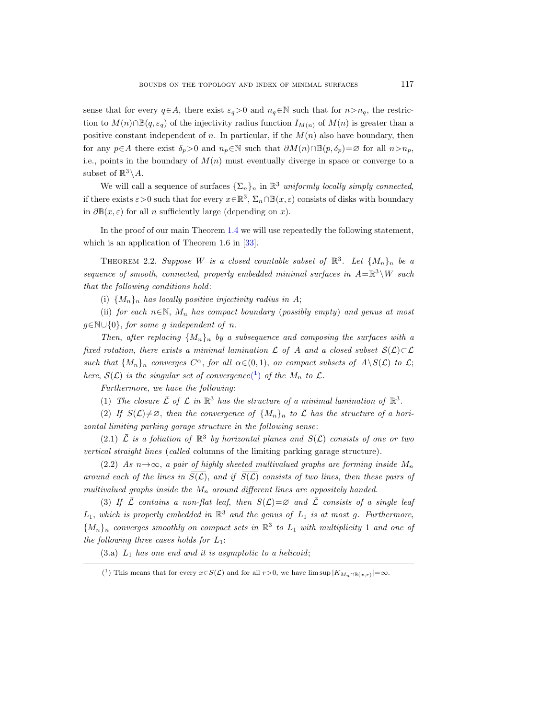sense that for every  $q \in A$ , there exist  $\varepsilon_q > 0$  and  $n_q \in \mathbb{N}$  such that for  $n > n_q$ , the restriction to  $M(n) \cap \mathbb{B}(q, \varepsilon_q)$  of the injectivity radius function  $I_{M(n)}$  of  $M(n)$  is greater than a positive constant independent of n. In particular, if the  $M(n)$  also have boundary, then for any  $p \in A$  there exist  $\delta_p > 0$  and  $n_p \in \mathbb{N}$  such that  $\partial M(n) \cap \mathbb{B}(p, \delta_p) = \emptyset$  for all  $n > n_p$ , i.e., points in the boundary of  $M(n)$  must eventually diverge in space or converge to a subset of  $\mathbb{R}^3 \backslash A$ .

We will call a sequence of surfaces  $\{\Sigma_n\}_n$  in  $\mathbb{R}^3$  uniformly locally simply connected, if there exists  $\varepsilon > 0$  such that for every  $x \in \mathbb{R}^3$ ,  $\Sigma_n \cap \mathbb{B}(x,\varepsilon)$  consists of disks with boundary in  $\partial \mathbb{B}(x,\varepsilon)$  for all *n* sufficiently large (depending on x).

In the proof of our main Theorem [1.4](#page-2-0) we will use repeatedly the following statement, which is an application of Theorem 1.6 in [\[33\]](#page-35-10).

<span id="page-4-1"></span>THEOREM 2.2. Suppose W is a closed countable subset of  $\mathbb{R}^3$ . Let  $\{M_n\}_n$  be a sequence of smooth, connected, properly embedded minimal surfaces in  $A = \mathbb{R}^3 \setminus W$  such that the following conditions hold:

(i)  $\{M_n\}_n$  has locally positive injectivity radius in A;

(ii) for each  $n \in \mathbb{N}$ ,  $M_n$  has compact boundary (possibly empty) and genus at most  $g \in \mathbb{N} \cup \{0\}$ , for some g independent of n.

Then, after replacing  $\{M_n\}_n$  by a subsequence and composing the surfaces with a fixed rotation, there exists a minimal lamination  $\mathcal L$  of A and a closed subset  $\mathcal S(\mathcal L)\subset\mathcal L$ such that  $\{M_n\}_n$  converges  $C^{\alpha}$ , for all  $\alpha \in (0,1)$ , on compact subsets of  $A \setminus S(\mathcal{L})$  to  $\mathcal{L}$ ; here,  $S(\mathcal{L})$  $S(\mathcal{L})$  $S(\mathcal{L})$  is the singular set of convergence<sup>(1</sup>) of the  $M_n$  to  $\mathcal{L}$ .

Furthermore, we have the following:

(1) The closure  $\overline{\mathcal{L}}$  of  $\mathcal{L}$  in  $\mathbb{R}^3$  has the structure of a minimal lamination of  $\mathbb{R}^3$ .

(2) If  $S(\mathcal{L})\neq\emptyset$ , then the convergence of  $\{M_n\}_n$  to  $\overline{\mathcal{L}}$  has the structure of a horizontal limiting parking garage structure in the following sense:

(2.1)  $\bar{\mathcal{L}}$  is a foliation of  $\mathbb{R}^3$  by horizontal planes and  $\bar{S}(\mathcal{L})$  consists of one or two vertical straight lines (called columns of the limiting parking garage structure).

(2.2) As  $n \rightarrow \infty$ , a pair of highly sheeted multivalued graphs are forming inside  $M_n$ around each of the lines in  $S(\mathcal{L})$ , and if  $S(\mathcal{L})$  consists of two lines, then these pairs of multivalued graphs inside the  $M_n$  around different lines are oppositely handed.

(3) If  $\overline{L}$  contains a non-flat leaf, then  $S(\mathcal{L})=\varnothing$  and  $\overline{L}$  consists of a single leaf  $L_1$ , which is properly embedded in  $\mathbb{R}^3$  and the genus of  $L_1$  is at most g. Furthermore,  ${M_n}_n$  converges smoothly on compact sets in  $\mathbb{R}^3$  to  $L_1$  with multiplicity 1 and one of the following three cases holds for  $L_1$ :

 $(3.a)$   $L_1$  has one end and it is asymptotic to a helicoid;

<span id="page-4-0"></span><sup>(&</sup>lt;sup>1</sup>) This means that for every  $x \in S(\mathcal{L})$  and for all  $r > 0$ , we have  $\limsup |K_{M_n \cap \mathbb{B}(x,r)}| = \infty$ .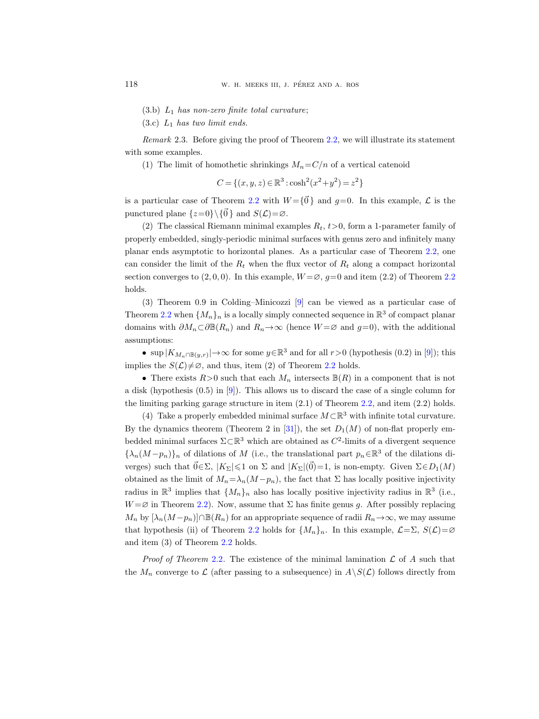- $(3.b)$   $L_1$  has non-zero finite total curvature;
- (3.c)  $L_1$  has two limit ends.

Remark 2.3. Before giving the proof of Theorem [2.2,](#page-4-1) we will illustrate its statement with some examples.

(1) The limit of homothetic shrinkings  $M_n = C/n$  of a vertical catenoid

$$
C = \{(x, y, z) \in \mathbb{R}^3 : \cosh^2(x^2 + y^2) = z^2\}
$$

is a particular case of Theorem [2.2](#page-4-1) with  $W = \{\vec{0}\}\$ and  $q=0$ . In this example,  $\mathcal L$  is the punctured plane  $\{z=0\}\setminus\{\vec{0}\}\$  and  $S(\mathcal{L})=\varnothing$ .

(2) The classical Riemann minimal examples  $R_t$ ,  $t>0$ , form a 1-parameter family of properly embedded, singly-periodic minimal surfaces with genus zero and infinitely many planar ends asymptotic to horizontal planes. As a particular case of Theorem [2.2,](#page-4-1) one can consider the limit of the  $R_t$  when the flux vector of  $R_t$  along a compact horizontal section converges to  $(2, 0, 0)$ . In this example,  $W = \emptyset$ ,  $g = 0$  and item  $(2.2)$  $(2.2)$  $(2.2)$  of Theorem 2.2 holds.

(3) Theorem 0.9 in Colding–Minicozzi [\[9\]](#page-34-20) can be viewed as a particular case of Theorem [2.2](#page-4-1) when  $\{M_n\}_n$  is a locally simply connected sequence in  $\mathbb{R}^3$  of compact planar domains with  $\partial M_n \subset \partial \mathbb{B}(R_n)$  and  $R_n \to \infty$  (hence  $W = \emptyset$  and  $g=0$ ), with the additional assumptions:

• sup  $|K_{M_n \cap \mathbb{B}(y,r)}| \to \infty$  for some  $y \in \mathbb{R}^3$  and for all  $r > 0$  (hypothesis  $(0.2)$  in [\[9\]](#page-34-20)); this implies the  $S(\mathcal{L})\neq\emptyset$ , and thus, item (2) of Theorem [2.2](#page-4-1) holds.

• There exists  $R>0$  such that each  $M_n$  intersects  $\mathbb{B}(R)$  in a component that is not a disk (hypothesis (0.5) in [\[9\]](#page-34-20)). This allows us to discard the case of a single column for the limiting parking garage structure in item (2.1) of Theorem [2.2,](#page-4-1) and item (2.2) holds.

(4) Take a properly embedded minimal surface  $M \subset \mathbb{R}^3$  with infinite total curvature. By the dynamics theorem (Theorem 2 in [\[31\]](#page-35-13)), the set  $D_1(M)$  of non-flat properly embedded minimal surfaces  $\Sigma \subset \mathbb{R}^3$  which are obtained as  $C^2$ -limits of a divergent sequence  ${\lambda_n(M-p_n)}_n$  of dilations of M (i.e., the translational part  $p_n \in \mathbb{R}^3$  of the dilations diverges) such that  $\vec{0} \in \Sigma$ ,  $|K_{\Sigma}| \leq 1$  on  $\Sigma$  and  $|K_{\Sigma}|(\vec{0})=1$ , is non-empty. Given  $\Sigma \in D_1(M)$ obtained as the limit of  $M_n = \lambda_n (M - p_n)$ , the fact that  $\Sigma$  has locally positive injectivity radius in  $\mathbb{R}^3$  implies that  $\{M_n\}_n$  also has locally positive injectivity radius in  $\mathbb{R}^3$  (i.e.,  $W = \emptyset$  in Theorem [2.2\)](#page-4-1). Now, assume that  $\Sigma$  has finite genus g. After possibly replacing  $M_n$  by  $[\lambda_n(M-p_n)]\cap \mathbb{B}(R_n)$  for an appropriate sequence of radii  $R_n \to \infty$ , we may assume that hypothesis (ii) of Theorem [2.2](#page-4-1) holds for  $\{M_n\}_n$ . In this example,  $\mathcal{L}=\Sigma$ ,  $S(\mathcal{L})=\varnothing$ and item (3) of Theorem [2.2](#page-4-1) holds.

*Proof of Theorem [2.2](#page-4-1).* The existence of the minimal lamination  $\mathcal L$  of A such that the  $M_n$  converge to  $\mathcal L$  (after passing to a subsequence) in  $A\setminus S(\mathcal L)$  follows directly from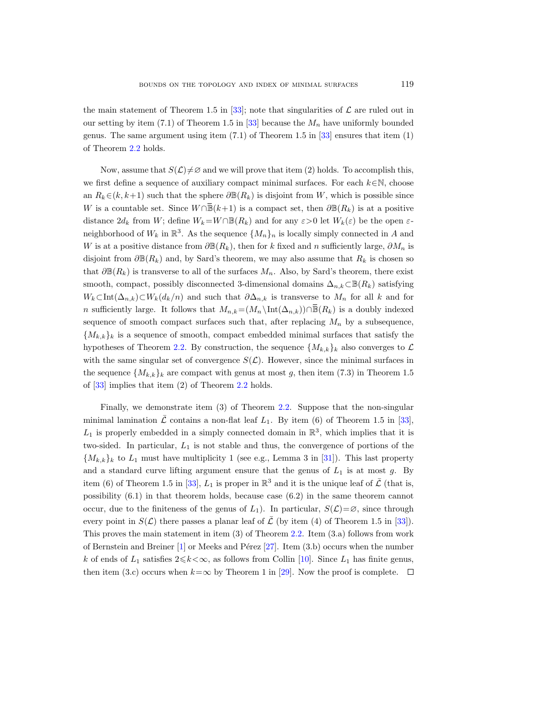the main statement of Theorem 1.5 in [\[33\]](#page-35-10); note that singularities of  $\mathcal L$  are ruled out in our setting by item (7.1) of Theorem 1.5 in [\[33\]](#page-35-10) because the  $M_n$  have uniformly bounded genus. The same argument using item  $(7.1)$  of Theorem 1.5 in  $[33]$  ensures that item  $(1)$ of Theorem [2.2](#page-4-1) holds.

Now, assume that  $S(\mathcal{L})\neq\emptyset$  and we will prove that item (2) holds. To accomplish this, we first define a sequence of auxiliary compact minimal surfaces. For each  $k \in \mathbb{N}$ , choose an  $R_k \in (k, k+1)$  such that the sphere  $\partial \mathbb{B}(R_k)$  is disjoint from W, which is possible since BOUNDS ON THE TOPOLOGY AND INDEX OF MINIMAL SURFACES 119<br>the main statement of Theorem 1.5 in [33]; note that singularities of  $\mathcal L$  are ruled out in<br>our setting by item (7.1) of Theorem 1.5 in [33] because the  $M_n$  have distance  $2d_k$  from W; define  $W_k = W \cap \mathbb{B}(R_k)$  and for any  $\varepsilon > 0$  let  $W_k(\varepsilon)$  be the open  $\varepsilon$ neighborhood of  $W_k$  in  $\mathbb{R}^3$ . As the sequence  $\{M_n\}_n$  is locally simply connected in A and W is at a positive distance from  $\partial \mathbb{B}(R_k)$ , then for k fixed and n sufficiently large,  $\partial M_n$  is disjoint from  $\partial \mathbb{B}(R_k)$  and, by Sard's theorem, we may also assume that  $R_k$  is chosen so that  $\partial \mathbb{B}(R_k)$  is transverse to all of the surfaces  $M_n$ . Also, by Sard's theorem, there exist smooth, compact, possibly disconnected 3-dimensional domains  $\Delta_{n,k}\subset\mathbb{B}(R_k)$  satisfying  $W_k\subset \text{Int}(\Delta_{n,k})\subset W_k(d_k/n)$  and such that  $\partial\Delta_{n,k}$  is transverse to  $M_n$  for all k and for Now, assume that  $S(L) \neq \emptyset$  and we will prove that item (2) holds. To accomplish this,<br>we first define a sequence of auxiliary compact minimal surfaces. For each  $k ∈ \mathbb{N}$ , choose<br>an  $R_k ∈ (k, k+1)$  such that the sphere sequence of smooth compact surfaces such that, after replacing  $M_n$  by a subsequence,  ${M_{k,k}}_k$  is a sequence of smooth, compact embedded minimal surfaces that satisfy the hypotheses of Theorem [2.2.](#page-4-1) By construction, the sequence  $\{M_{k,k}\}_k$  also converges to  $\mathcal{L}$ with the same singular set of convergence  $S(\mathcal{L})$ . However, since the minimal surfaces in the sequence  $\{M_{k,k}\}\$ k are compact with genus at most g, then item (7.3) in Theorem 1.5 of [\[33\]](#page-35-10) implies that item (2) of Theorem [2.2](#page-4-1) holds.

Finally, we demonstrate item (3) of Theorem [2.2.](#page-4-1) Suppose that the non-singular minimal lamination  $\bar{\mathcal{L}}$  contains a non-flat leaf  $L_1$ . By item (6) of Theorem 1.5 in [\[33\]](#page-35-10),  $L_1$  is properly embedded in a simply connected domain in  $\mathbb{R}^3$ , which implies that it is two-sided. In particular,  $L_1$  is not stable and thus, the convergence of portions of the  $\{M_{k,k}\}\$ k to  $L_1$  must have multiplicity 1 (see e.g., Lemma 3 in [\[31\]](#page-35-13)). This last property and a standard curve lifting argument ensure that the genus of  $L_1$  is at most g. By item (6) of Theorem 1.5 in [\[33\]](#page-35-10),  $L_1$  is proper in  $\mathbb{R}^3$  and it is the unique leaf of  $\bar{\mathcal{L}}$  (that is, possibility (6.1) in that theorem holds, because case (6.2) in the same theorem cannot occur, due to the finiteness of the genus of  $L_1$ ). In particular,  $S(\mathcal{L})=\emptyset$ , since through every point in  $S(\mathcal{L})$  there passes a planar leaf of  $\overline{\mathcal{L}}$  (by item (4) of Theorem 1.5 in [\[33\]](#page-35-10)). This proves the main statement in item (3) of Theorem [2.2.](#page-4-1) Item (3.a) follows from work of Bernstein and Breiner  $[1]$  or Meeks and Pérez  $[27]$ . Item  $(3.b)$  occurs when the number k of ends of  $L_1$  satisfies  $2 \le k \le \infty$ , as follows from Collin [\[10\]](#page-34-1). Since  $L_1$  has finite genus, then item (3.c) occurs when  $k=\infty$  by Theorem 1 in [\[29\]](#page-35-6). Now the proof is complete.  $\square$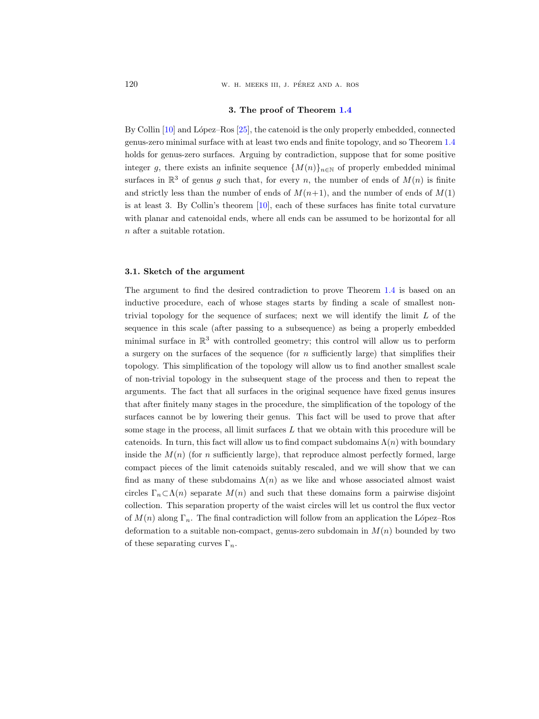120 W. H. MEEKS III, J. PÉREZ AND A. ROS

#### 3. The proof of Theorem [1.4](#page-2-0)

By Collin  $[10]$  and López–Ros  $[25]$ , the catenoid is the only properly embedded, connected genus-zero minimal surface with at least two ends and finite topology, and so Theorem [1.4](#page-2-0) holds for genus-zero surfaces. Arguing by contradiction, suppose that for some positive integer g, there exists an infinite sequence  $\{M(n)\}_{n\in\mathbb{N}}$  of properly embedded minimal surfaces in  $\mathbb{R}^3$  of genus g such that, for every n, the number of ends of  $M(n)$  is finite and strictly less than the number of ends of  $M(n+1)$ , and the number of ends of  $M(1)$ is at least 3. By Collin's theorem [\[10\]](#page-34-1), each of these surfaces has finite total curvature with planar and catenoidal ends, where all ends can be assumed to be horizontal for all n after a suitable rotation.

#### 3.1. Sketch of the argument

The argument to find the desired contradiction to prove Theorem [1.4](#page-2-0) is based on an inductive procedure, each of whose stages starts by finding a scale of smallest nontrivial topology for the sequence of surfaces; next we will identify the limit  $L$  of the sequence in this scale (after passing to a subsequence) as being a properly embedded minimal surface in  $\mathbb{R}^3$  with controlled geometry; this control will allow us to perform a surgery on the surfaces of the sequence (for  $n$  sufficiently large) that simplifies their topology. This simplification of the topology will allow us to find another smallest scale of non-trivial topology in the subsequent stage of the process and then to repeat the arguments. The fact that all surfaces in the original sequence have fixed genus insures that after finitely many stages in the procedure, the simplification of the topology of the surfaces cannot be by lowering their genus. This fact will be used to prove that after some stage in the process, all limit surfaces  $L$  that we obtain with this procedure will be catenoids. In turn, this fact will allow us to find compact subdomains  $\Lambda(n)$  with boundary inside the  $M(n)$  (for n sufficiently large), that reproduce almost perfectly formed, large compact pieces of the limit catenoids suitably rescaled, and we will show that we can find as many of these subdomains  $\Lambda(n)$  as we like and whose associated almost waist circles  $\Gamma_n \subset \Lambda(n)$  separate  $M(n)$  and such that these domains form a pairwise disjoint collection. This separation property of the waist circles will let us control the flux vector of  $M(n)$  along  $\Gamma_n$ . The final contradiction will follow from an application the López–Ros deformation to a suitable non-compact, genus-zero subdomain in  $M(n)$  bounded by two of these separating curves  $\Gamma_n$ .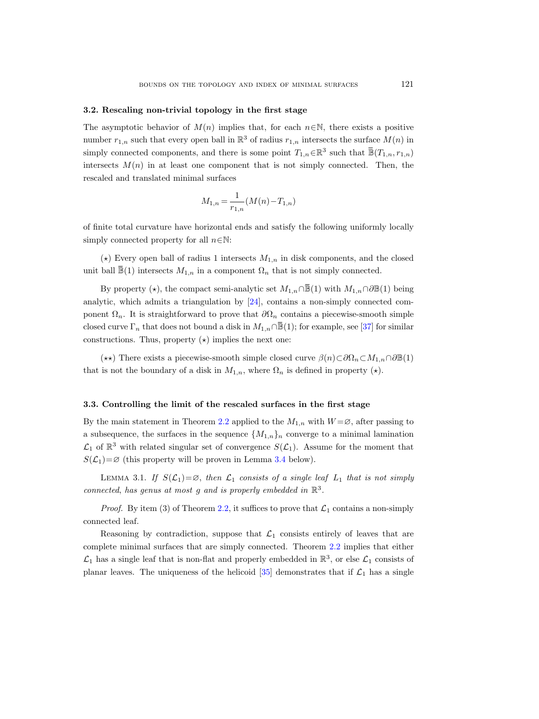#### 3.2. Rescaling non-trivial topology in the first stage

The asymptotic behavior of  $M(n)$  implies that, for each  $n \in \mathbb{N}$ , there exists a positive number  $r_{1,n}$  such that every open ball in  $\mathbb{R}^3$  of radius  $r_{1,n}$  intersects the surface  $M(n)$  in simply connected components, and there is some point  $T_{1,n} \in \mathbb{R}^3$ URFACES 121<br>there exists a positive<br>ts the surface  $M(n)$  in<br>such that  $\overline{\mathbb{B}}(T_{1,n}, r_{1,n})$ intersects  $M(n)$  in at least one component that is not simply connected. Then, the rescaled and translated minimal surfaces number  $r_{1,n}$  such that every open ball in  $\mathbb{R}^3$  of radius  $r_{1,n}$  intersects the surface<br>simply connected components, and there is some point  $T_{1,n} \in \mathbb{R}^3$  such that  $\overline{\mathbb{B}}(T)$ <br>intersects  $M(n)$  in at least ly connected components, and there is some point  $T_{1,n} \in \mathbb{R}^3$  such that  $\mathbb{B}(T_{1,n}, r_{1,n})$ <br>sects  $M(n)$  in at least one component that is not simply connected. Then, the<br>led and translated minimal surfaces<br> $M_{1,n} = \frac$ 

$$
M_{1,n} = \frac{1}{r_{1,n}} (M(n) - T_{1,n})
$$

of finite total curvature have horizontal ends and satisfy the following uniformly locally simply connected property for all  $n \in \mathbb{N}$ :

( $\star$ ) Every open ball of radius 1 intersects  $M_{1,n}$  in disk components, and the closed

analytic, which admits a triangulation by [\[24\]](#page-34-21), contains a non-simply connected component  $\Omega_n$ . It is straightforward to prove that  $\partial\Omega_n$  contains a piecewise-smooth simple  $M_{1,n} = \frac{1}{r_{1,n}}(M(n)-T_{1,n})$  of finite total curvature have horizontal ends and satisfy the following uniformly locally simply connected property for all  $n \in \mathbb{N}$ :<br>
(\*) Every open ball of radius 1 intersects  $M_{1,n}$  in constructions. Thus, property  $(\star)$  implies the next one:

 $(\star\star)$  There exists a piecewise-smooth simple closed curve  $\beta(n)\subset\partial\Omega_n\subset M_{1,n}\cap\partial\mathbb{B}(1)$ that is not the boundary of a disk in  $M_{1,n}$ , where  $\Omega_n$  is defined in property ( $\star$ ).

#### <span id="page-8-1"></span>3.3. Controlling the limit of the rescaled surfaces in the first stage

By the main statement in Theorem [2.2](#page-4-1) applied to the  $M_{1,n}$  with  $W = \emptyset$ , after passing to a subsequence, the surfaces in the sequence  $\{M_{1,n}\}_n$  converge to a minimal lamination  $\mathcal{L}_1$  of  $\mathbb{R}^3$  with related singular set of convergence  $S(\mathcal{L}_1)$ . Assume for the moment that  $S(\mathcal{L}_1) = \emptyset$  (this property will be proven in Lemma [3.4](#page-13-0) below).

<span id="page-8-0"></span>LEMMA 3.1. If  $S(\mathcal{L}_1)=\emptyset$ , then  $\mathcal{L}_1$  consists of a single leaf  $L_1$  that is not simply connected, has genus at most g and is properly embedded in  $\mathbb{R}^3$ .

*Proof.* By item (3) of Theorem [2.2,](#page-4-1) it suffices to prove that  $\mathcal{L}_1$  contains a non-simply connected leaf.

Reasoning by contradiction, suppose that  $\mathcal{L}_1$  consists entirely of leaves that are complete minimal surfaces that are simply connected. Theorem [2.2](#page-4-1) implies that either  $\mathcal{L}_1$  has a single leaf that is non-flat and properly embedded in  $\mathbb{R}^3$ , or else  $\mathcal{L}_1$  consists of planar leaves. The uniqueness of the helicoid  $[35]$  demonstrates that if  $\mathcal{L}_1$  has a single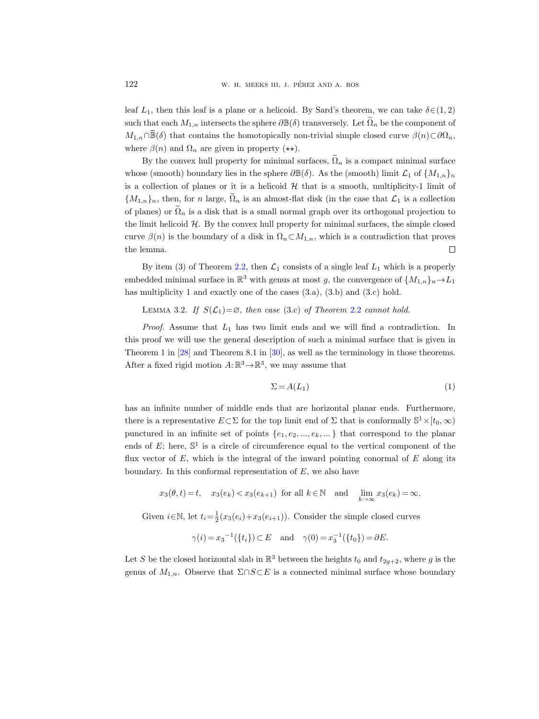leaf  $L_1$ , then this leaf is a plane or a helicoid. By Sard's theorem, we can take  $\delta \in (1, 2)$ such that each  $M_{1,n}$  intersects the sphere  $\partial \mathbb{B}(\delta)$  transversely. Let  $\Omega_n$  be the component of M. H. MEEKS III, J. PÉREZ AND A. ROS<br>
Deaf  $L_1$ , then this leaf is a plane or a helicoid. By Sard's theorem, we can take  $\delta \in (1, 2)$ <br>
such that each  $M_{1,n}$  intersects the sphere  $\partial \mathbb{B}(\delta)$  transversely. Let  $\widetilde{\$ where  $\beta(n)$  and  $\Omega_n$  are given in property ( $\star\star$ ).

By the convex hull property for minimal surfaces,  $\Omega_n$  is a compact minimal surface whose (smooth) boundary lies in the sphere  $\partial \mathbb{B}(\delta)$ . As the (smooth) limit  $\mathcal{L}_1$  of  $\{M_{1,n}\}_n$ is a collection of planes or it is a helicoid  $H$  that is a smooth, multiplicity-1 limit of  ${M_{1,n}}_n$ , then, for n large,  $\tilde{\Omega}_n$  is an almost-flat disk (in the case that  $\mathcal{L}_1$  is a collection of planes) or  $\tilde{\Omega}_n$  is a disk that is a small normal graph over its orthogonal projection to the limit helicoid  $H$ . By the convex hull property for minimal surfaces, the simple closed curve  $\beta(n)$  is the boundary of a disk in  $\Omega_n \subset M_{1,n}$ , which is a contradiction that proves the lemma.  $\Box$ 

By item (3) of Theorem [2.2,](#page-4-1) then  $\mathcal{L}_1$  consists of a single leaf  $L_1$  which is a properly embedded minimal surface in  $\mathbb{R}^3$  with genus at most g, the convergence of  $\{M_{1,n}\}_n \to L_1$ has multiplicity 1 and exactly one of the cases  $(3.a)$ ,  $(3.b)$  and  $(3.c)$  hold.

<span id="page-9-1"></span>LEMMA 3.2. If  $S(\mathcal{L}_1) = \emptyset$ , then case (3.c) of Theorem [2.2](#page-4-1) cannot hold.

*Proof.* Assume that  $L_1$  has two limit ends and we will find a contradiction. In this proof we will use the general description of such a minimal surface that is given in Theorem 1 in [\[28\]](#page-34-12) and Theorem 8.1 in [\[30\]](#page-35-8), as well as the terminology in those theorems. After a fixed rigid motion  $A: \mathbb{R}^3 \to \mathbb{R}^3$ , we may assume that

<span id="page-9-0"></span>
$$
\Sigma = A(L_1) \tag{1}
$$

has an infinite number of middle ends that are horizontal planar ends. Furthermore, there is a representative  $E \subset \Sigma$  for the top limit end of  $\Sigma$  that is conformally  $\mathbb{S}^1 \times [t_0, \infty)$ punctured in an infinite set of points  $\{e_1, e_2, ..., e_k, ...\}$  that correspond to the planar ends of  $E$ ; here,  $\mathbb{S}^1$  is a circle of circumference equal to the vertical component of the flux vector of  $E$ , which is the integral of the inward pointing conormal of  $E$  along its boundary. In this conformal representation of  $E$ , we also have

$$
x_3(\theta, t) = t
$$
,  $x_3(e_k) < x_3(e_{k+1})$  for all  $k \in \mathbb{N}$  and  $\lim_{k \to \infty} x_3(e_k) = \infty$ .

Given  $i \in \mathbb{N}$ , let  $t_i = \frac{1}{2}(x_3(e_i) + x_3(e_{i+1}))$ . Consider the simple closed curves

$$
\gamma(i) = x_3^{-1}(\{t_i\}) \subset E
$$
 and  $\gamma(0) = x_3^{-1}(\{t_0\}) = \partial E$ .

Let S be the closed horizontal slab in  $\mathbb{R}^3$  between the heights  $t_0$  and  $t_{2g+2}$ , where g is the genus of  $M_{1,n}$ . Observe that  $\Sigma \cap S \subset E$  is a connected minimal surface whose boundary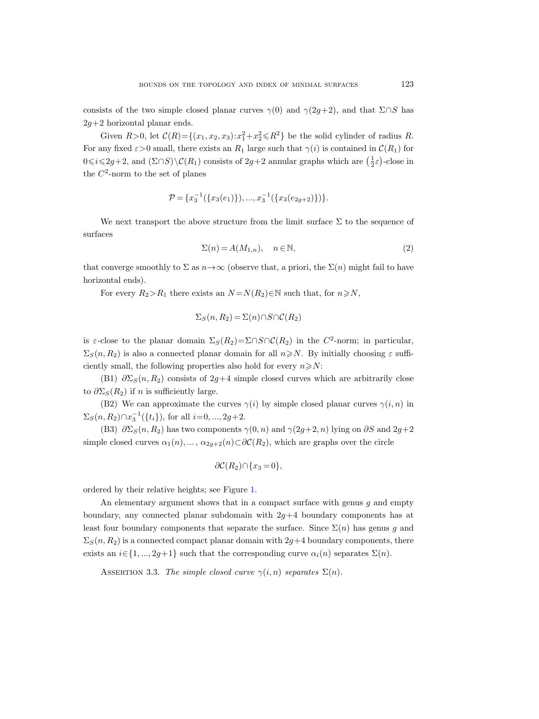consists of the two simple closed planar curves  $\gamma(0)$  and  $\gamma(2q+2)$ , and that  $\Sigma \cap S$  has  $2g+2$  horizontal planar ends.

Given  $R > 0$ , let  $C(R) = \{(x_1, x_2, x_3): x_1^2 + x_2^2 \le R^2\}$  be the solid cylinder of radius R. For any fixed  $\varepsilon > 0$  small, there exists an  $R_1$  large such that  $\gamma(i)$  is contained in  $\mathcal{C}(R_1)$  for  $0 \leq i \leq 2g+2$ , and  $(\Sigma \cap S) \setminus C(R_1)$  consists of  $2g+2$  annular graphs which are  $(\frac{1}{2}\varepsilon)$ -close in the  $C^2$ -norm to the set of planes

$$
\mathcal{P} = \{x_3^{-1}(\{x_3(e_1)\}), ..., x_3^{-1}(\{x_3(e_{2g+2})\})\}.
$$

We next transport the above structure from the limit surface  $\Sigma$  to the sequence of surfaces

<span id="page-10-1"></span>
$$
\Sigma(n) = A(M_{1,n}), \quad n \in \mathbb{N}, \tag{2}
$$

that converge smoothly to  $\Sigma$  as  $n \rightarrow \infty$  (observe that, a priori, the  $\Sigma(n)$  might fail to have horizontal ends).

For every  $R_2>R_1$  there exists an  $N = N(R_2) \in \mathbb{N}$  such that, for  $n \ge N$ ,

$$
\Sigma_S(n, R_2) = \Sigma(n) \cap S \cap C(R_2)
$$

is  $\varepsilon$ -close to the planar domain  $\Sigma_S(R_2) = \Sigma \cap S \cap C(R_2)$  in the  $C^2$ -norm; in particular,  $\Sigma_S(n, R_2)$  is also a connected planar domain for all  $n \geq N$ . By initially choosing  $\varepsilon$  sufficiently small, the following properties also hold for every  $n \ge N$ :

(B1)  $\partial \Sigma_S(n, R_2)$  consists of 2g+4 simple closed curves which are arbitrarily close to  $\partial \Sigma_S(R_2)$  if n is sufficiently large.

(B2) We can approximate the curves  $\gamma(i)$  by simple closed planar curves  $\gamma(i, n)$  in  $\Sigma_S(n, R_2) \cap x_3^{-1}({t_i})$ , for all  $i=0, ..., 2g+2$ .

(B3)  $\partial \Sigma_S(n, R_2)$  has two components  $\gamma(0, n)$  and  $\gamma(2g+2, n)$  lying on  $\partial S$  and  $2g+2$ simple closed curves  $\alpha_1(n), \ldots, \alpha_{2g+2}(n) \subset \partial \mathcal{C}(R_2)$ , which are graphs over the circle

$$
\partial \mathcal{C}(R_2) \cap \{x_3 = 0\},\
$$

ordered by their relative heights; see Figure [1.](#page-11-0)

An elementary argument shows that in a compact surface with genus  $g$  and empty boundary, any connected planar subdomain with  $2q+4$  boundary components has at least four boundary components that separate the surface. Since  $\Sigma(n)$  has genus g and  $\Sigma_S(n, R_2)$  is a connected compact planar domain with  $2g+4$  boundary components, there exists an  $i \in \{1, ..., 2g+1\}$  such that the corresponding curve  $\alpha_i(n)$  separates  $\Sigma(n)$ .

<span id="page-10-0"></span>ASSERTION 3.3. The simple closed curve  $\gamma(i, n)$  separates  $\Sigma(n)$ .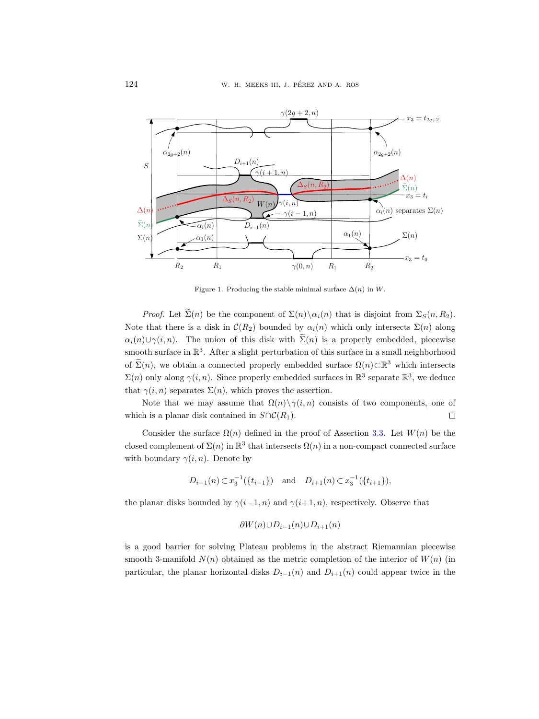

<span id="page-11-0"></span>Figure 1. Producing the stable minimal surface  $\Delta(n)$  in W.

*Proof.* Let  $\widetilde{\Sigma}(n)$  be the component of  $\Sigma(n)\setminus\alpha_i(n)$  that is disjoint from  $\Sigma_S(n, R_2)$ . Note that there is a disk in  $\mathcal{C}(R_2)$  bounded by  $\alpha_i(n)$  which only intersects  $\Sigma(n)$  along  $\alpha_i(n) \cup \gamma(i, n)$ . The union of this disk with  $\widetilde{\Sigma}(n)$  is a properly embedded, piecewise smooth surface in  $\mathbb{R}^3$ . After a slight perturbation of this surface in a small neighborhood of  $\Sigma(n)$ , we obtain a connected properly embedded surface  $\Omega(n) \subset \mathbb{R}^3$  which intersects  $\Sigma(n)$  only along  $\gamma(i, n)$ . Since properly embedded surfaces in  $\mathbb{R}^3$  separate  $\mathbb{R}^3$ , we deduce that  $\gamma(i, n)$  separates  $\Sigma(n)$ , which proves the assertion.

Note that we may assume that  $\Omega(n) \setminus \gamma(i, n)$  consists of two components, one of which is a planar disk contained in  $S \cap C(R_1)$ .  $\Box$ 

Consider the surface  $\Omega(n)$  defined in the proof of Assertion [3.3.](#page-10-0) Let  $W(n)$  be the closed complement of  $\Sigma(n)$  in  $\mathbb{R}^3$  that intersects  $\Omega(n)$  in a non-compact connected surface with boundary  $\gamma(i, n)$ . Denote by

$$
D_{i-1}(n) \subset x_3^{-1}(\lbrace t_{i-1} \rbrace)
$$
 and  $D_{i+1}(n) \subset x_3^{-1}(\lbrace t_{i+1} \rbrace)$ ,

the planar disks bounded by  $\gamma(i-1, n)$  and  $\gamma(i+1, n)$ , respectively. Observe that

$$
\partial W(n) \cup D_{i-1}(n) \cup D_{i+1}(n)
$$

is a good barrier for solving Plateau problems in the abstract Riemannian piecewise smooth 3-manifold  $N(n)$  obtained as the metric completion of the interior of  $W(n)$  (in particular, the planar horizontal disks  $D_{i-1}(n)$  and  $D_{i+1}(n)$  could appear twice in the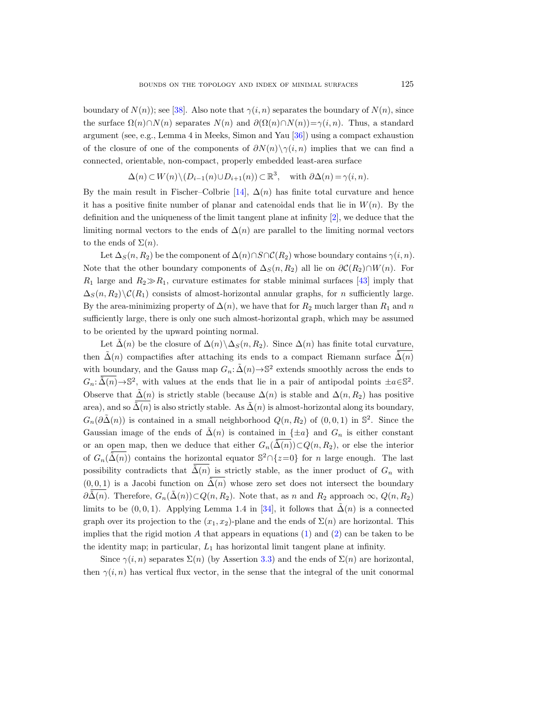boundary of  $N(n)$ ; see [\[38\]](#page-35-16). Also note that  $\gamma(i, n)$  separates the boundary of  $N(n)$ , since the surface  $\Omega(n) \cap N(n)$  separates  $N(n)$  and  $\partial(\Omega(n) \cap N(n)) = \gamma(i, n)$ . Thus, a standard argument (see, e.g., Lemma 4 in Meeks, Simon and Yau [\[36\]](#page-35-17)) using a compact exhaustion of the closure of one of the components of  $\partial N(n)\setminus \gamma(i,n)$  implies that we can find a connected, orientable, non-compact, properly embedded least-area surface

$$
\Delta(n) \subset W(n) \setminus (D_{i-1}(n) \cup D_{i+1}(n)) \subset \mathbb{R}^3, \text{ with } \partial \Delta(n) = \gamma(i, n).
$$

By the main result in Fischer–Colbrie [\[14\]](#page-34-15),  $\Delta(n)$  has finite total curvature and hence it has a positive finite number of planar and catenoidal ends that lie in  $W(n)$ . By the definition and the uniqueness of the limit tangent plane at infinity [\[2\]](#page-33-3), we deduce that the limiting normal vectors to the ends of  $\Delta(n)$  are parallel to the limiting normal vectors to the ends of  $\Sigma(n)$ .

Let  $\Delta_S(n, R_2)$  be the component of  $\Delta(n) \cap S \cap \mathcal{C}(R_2)$  whose boundary contains  $\gamma(i, n)$ . Note that the other boundary components of  $\Delta_S(n, R_2)$  all lie on  $\partial \mathcal{C}(R_2) \cap W(n)$ . For  $R_1$  large and  $R_2 \gg R_1$ , curvature estimates for stable minimal surfaces [\[43\]](#page-35-18) imply that  $\Delta_S(n, R_2) \setminus C(R_1)$  consists of almost-horizontal annular graphs, for *n* sufficiently large. By the area-minimizing property of  $\Delta(n)$ , we have that for  $R_2$  much larger than  $R_1$  and n sufficiently large, there is only one such almost-horizontal graph, which may be assumed to be oriented by the upward pointing normal.

Let  $\Delta(n)$  be the closure of  $\Delta(n)\setminus \Delta_S(n, R_2)$ . Since  $\Delta(n)$  has finite total curvature, then  $\tilde{\Delta}(n)$  compactifies after attaching its ends to a compact Riemann surface  $\tilde{\Delta}(n)$ with boundary, and the Gauss map  $G_n: \tilde{\Delta}(n) \rightarrow \mathbb{S}^2$  extends smoothly across the ends to  $G_n: \tilde{\Delta}(n) \to \mathbb{S}^2$ , with values at the ends that lie in a pair of antipodal points  $\pm a \in \mathbb{S}^2$ . Observe that  $\tilde{\Delta}(n)$  is strictly stable (because  $\Delta(n)$  is stable and  $\Delta(n, R_2)$  has positive area), and so  $\tilde{\Delta}(n)$  is also strictly stable. As  $\tilde{\Delta}(n)$  is almost-horizontal along its boundary,  $G_n(\partial \tilde{\Delta}(n))$  is contained in a small neighborhood  $Q(n, R_2)$  of  $(0, 0, 1)$  in  $\mathbb{S}^2$ . Since the Gaussian image of the ends of  $\tilde{\Delta}(n)$  is contained in  $\{\pm a\}$  and  $G_n$  is either constant or an open map, then we deduce that either  $G_n(\tilde{\Delta}(n))\subset Q(n, R_2)$ , or else the interior of  $G_n(\tilde{\Delta}(n))$  contains the horizontal equator  $\mathbb{S}^2 \cap \{z=0\}$  for n large enough. The last possibility contradicts that  $\tilde{\Delta}(n)$  is strictly stable, as the inner product of  $G_n$  with  $(0, 0, 1)$  is a Jacobi function on  $\tilde{\Delta}(n)$  whose zero set does not intersect the boundary  $\partial \tilde{\Delta}(n)$ . Therefore,  $G_n(\tilde{\Delta}(n))\subset Q(n, R_2)$ . Note that, as n and  $R_2$  approach  $\infty$ ,  $Q(n, R_2)$ limits to be  $(0, 0, 1)$ . Applying Lemma 1.4 in [\[34\]](#page-35-4), it follows that  $\tilde{\Delta}(n)$  is a connected graph over its projection to the  $(x_1, x_2)$ -plane and the ends of  $\Sigma(n)$  are horizontal. This implies that the rigid motion A that appears in equations  $(1)$  and  $(2)$  can be taken to be the identity map; in particular,  $L_1$  has horizontal limit tangent plane at infinity.

Since  $\gamma(i, n)$  separates  $\Sigma(n)$  (by Assertion [3.3\)](#page-10-0) and the ends of  $\Sigma(n)$  are horizontal, then  $\gamma(i, n)$  has vertical flux vector, in the sense that the integral of the unit conormal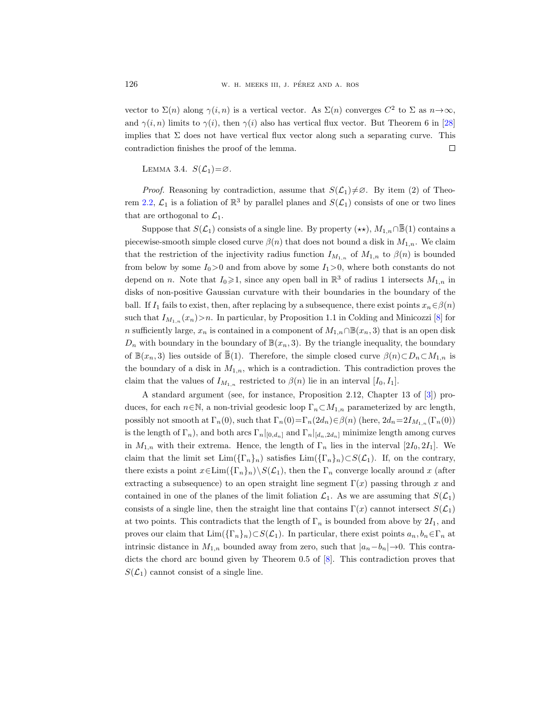vector to  $\Sigma(n)$  along  $\gamma(i,n)$  is a vertical vector. As  $\Sigma(n)$  converges  $C^2$  to  $\Sigma$  as  $n \to \infty$ , and  $\gamma(i, n)$  limits to  $\gamma(i)$ , then  $\gamma(i)$  also has vertical flux vector. But Theorem 6 in [\[28\]](#page-34-12) implies that  $\Sigma$  does not have vertical flux vector along such a separating curve. This contradiction finishes the proof of the lemma. Suppose that S( $\mathcal{L}_1$ ) converges  $C^2$  to  $\Sigma$  as  $n \to \infty$ ,<br>  $\gamma(i, n)$  limits to  $\gamma(i)$ , then  $\gamma(i)$  also has vertical flux vector. But Theorem 6 in [28]<br>
ies that  $\Sigma$  does not have vertical flux vector along such a se

<span id="page-13-0"></span>LEMMA 3.4.  $S(\mathcal{L}_1) = \emptyset$ .

*Proof.* Reasoning by contradiction, assume that  $S(\mathcal{L}_1)\neq\emptyset$ . By item (2) of Theo-rem [2.2,](#page-4-1)  $\mathcal{L}_1$  is a foliation of  $\mathbb{R}^3$  by parallel planes and  $S(\mathcal{L}_1)$  consists of one or two lines that are orthogonal to  $\mathcal{L}_1$ .

piecewise-smooth simple closed curve  $\beta(n)$  that does not bound a disk in  $M_{1,n}$ . We claim that the restriction of the injectivity radius function  $I_{M_{1,n}}$  of  $M_{1,n}$  to  $\beta(n)$  is bounded from below by some  $I_0>0$  and from above by some  $I_1>0$ , where both constants do not depend on n. Note that  $I_0 \geq 1$ , since any open ball in  $\mathbb{R}^3$  of radius 1 intersects  $M_{1,n}$  in disks of non-positive Gaussian curvature with their boundaries in the boundary of the ball. If  $I_1$  fails to exist, then, after replacing by a subsequence, there exist points  $x_n \in \beta(n)$ such that  $I_{M_{1,n}}(x_n) > n$ . In particular, by Proposition 1.1 in Colding and Minicozzi [\[8\]](#page-34-14) for n sufficiently large,  $x_n$  is contained in a component of  $M_{1,n} \cap \mathbb{B}(x_n, 3)$  that is an open disk  $D_n$  with boundary in the boundary of  $\mathbb{B}(x_n, 3)$ . By the triangle inequality, the boundary of B(x<sub>n</sub>, 3) consists of a single line. By property  $(\star\star)$ ,  $M_{1,n} \cap \overline{\mathbb{B}}(1)$  contains a piecewise-smooth simple closed curve  $\beta(n)$  that does not bound a disk in  $M_{1,n}$ . We claim that the restriction of the injec the boundary of a disk in  $M_{1,n}$ , which is a contradiction. This contradiction proves the claim that the values of  $I_{M_{1,n}}$  restricted to  $\beta(n)$  lie in an interval  $[I_0, I_1]$ .

A standard argument (see, for instance, Proposition 2.12, Chapter 13 of [\[3\]](#page-33-4)) produces, for each  $n \in \mathbb{N}$ , a non-trivial geodesic loop  $\Gamma_n \subset M_{1,n}$  parameterized by arc length, possibly not smooth at  $\Gamma_n(0)$ , such that  $\Gamma_n(0) = \Gamma_n(2d_n) \in \beta(n)$  (here,  $2d_n = 2I_{M_{1,n}}(\Gamma_n(0))$ is the length of  $\Gamma_n$ ), and both arcs  $\Gamma_n|_{[0,d_n]}$  and  $\Gamma_n|_{[d_n,2d_n]}$  minimize length among curves in  $M_{1,n}$  with their extrema. Hence, the length of  $\Gamma_n$  lies in the interval [2I<sub>0</sub>, 2I<sub>1</sub>]. We claim that the limit set  $\text{Lim}(\{\Gamma_n\}_n)$  satisfies  $\text{Lim}(\{\Gamma_n\}_n) \subset S(\mathcal{L}_1)$ . If, on the contrary, there exists a point  $x \in \text{Lim}(\{\Gamma_n\}_n)\setminus S(\mathcal{L}_1)$ , then the  $\Gamma_n$  converge locally around x (after extracting a subsequence) to an open straight line segment  $\Gamma(x)$  passing through x and contained in one of the planes of the limit foliation  $\mathcal{L}_1$ . As we are assuming that  $S(\mathcal{L}_1)$ consists of a single line, then the straight line that contains  $\Gamma(x)$  cannot intersect  $S(\mathcal{L}_1)$ at two points. This contradicts that the length of  $\Gamma_n$  is bounded from above by  $2I_1$ , and proves our claim that  $\text{Lim}(\{\Gamma_n\}_n) \subset S(\mathcal{L}_1)$ . In particular, there exist points  $a_n, b_n \in \Gamma_n$  at intrinsic distance in  $M_{1,n}$  bounded away from zero, such that  $|a_n-b_n| \rightarrow 0$ . This contradicts the chord arc bound given by Theorem 0.5 of [\[8\]](#page-34-14). This contradiction proves that  $S(\mathcal{L}_1)$  cannot consist of a single line.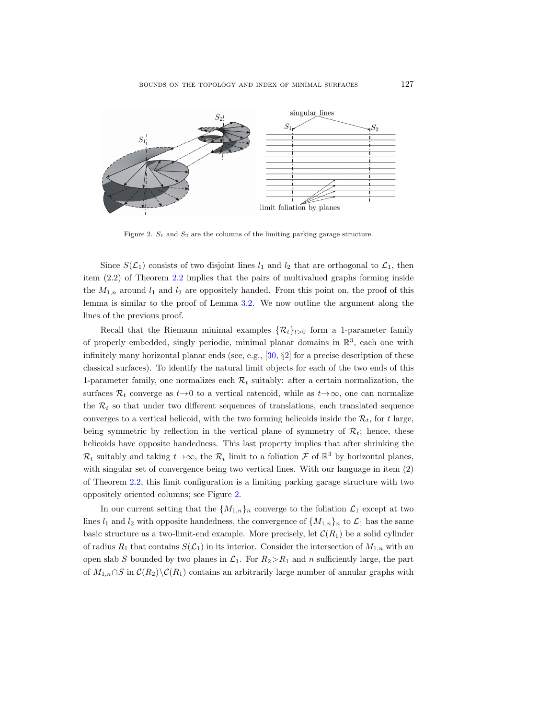

<span id="page-14-0"></span>Figure 2.  $S_1$  and  $S_2$  are the columns of the limiting parking garage structure.

Since  $S(\mathcal{L}_1)$  consists of two disjoint lines  $l_1$  and  $l_2$  that are orthogonal to  $\mathcal{L}_1$ , then item (2.2) of Theorem [2.2](#page-4-1) implies that the pairs of multivalued graphs forming inside the  $M_{1,n}$  around  $l_1$  and  $l_2$  are oppositely handed. From this point on, the proof of this lemma is similar to the proof of Lemma [3.2.](#page-9-1) We now outline the argument along the lines of the previous proof.

Recall that the Riemann minimal examples  $\{\mathcal{R}_t\}_{t>0}$  form a 1-parameter family of properly embedded, singly periodic, minimal planar domains in  $\mathbb{R}^3$ , each one with infinitely many horizontal planar ends (see, e.g., [\[30,](#page-35-8) §2] for a precise description of these classical surfaces). To identify the natural limit objects for each of the two ends of this 1-parameter family, one normalizes each  $\mathcal{R}_t$  suitably: after a certain normalization, the surfaces  $\mathcal{R}_t$  converge as  $t \rightarrow 0$  to a vertical catenoid, while as  $t \rightarrow \infty$ , one can normalize the  $\mathcal{R}_t$  so that under two different sequences of translations, each translated sequence converges to a vertical helicoid, with the two forming helicoids inside the  $\mathcal{R}_t$ , for t large, being symmetric by reflection in the vertical plane of symmetry of  $\mathcal{R}_t$ ; hence, these helicoids have opposite handedness. This last property implies that after shrinking the  $\mathcal{R}_t$  suitably and taking  $t \to \infty$ , the  $\mathcal{R}_t$  limit to a foliation  $\mathcal F$  of  $\mathbb{R}^3$  by horizontal planes, with singular set of convergence being two vertical lines. With our language in item (2) of Theorem [2.2,](#page-4-1) this limit configuration is a limiting parking garage structure with two oppositely oriented columns; see Figure [2.](#page-14-0)

In our current setting that the  $\{M_{1,n}\}_n$  converge to the foliation  $\mathcal{L}_1$  except at two lines  $l_1$  and  $l_2$  with opposite handedness, the convergence of  $\{M_{1,n}\}\)n$  to  $\mathcal{L}_1$  has the same basic structure as a two-limit-end example. More precisely, let  $\mathcal{C}(R_1)$  be a solid cylinder of radius  $R_1$  that contains  $S(\mathcal{L}_1)$  in its interior. Consider the intersection of  $M_{1,n}$  with an open slab S bounded by two planes in  $\mathcal{L}_1$ . For  $R_2 > R_1$  and n sufficiently large, the part of  $M_{1,n} \cap S$  in  $C(R_2) \backslash C(R_1)$  contains an arbitrarily large number of annular graphs with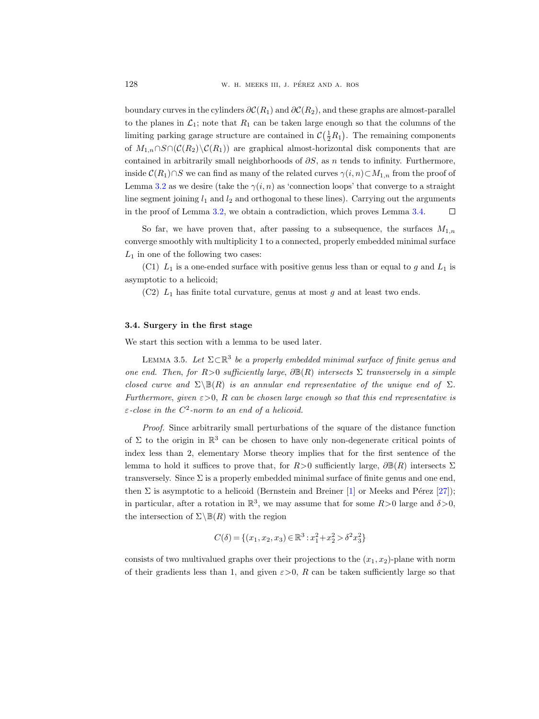boundary curves in the cylinders  $\partial \mathcal{C}(R_1)$  and  $\partial \mathcal{C}(R_2)$ , and these graphs are almost-parallel to the planes in  $\mathcal{L}_1$ ; note that  $R_1$  can be taken large enough so that the columns of the limiting parking garage structure are contained in  $\mathcal{C}(\frac{1}{2}R_1)$ . The remaining components of  $M_{1,n} \cap S \cap (\mathcal{C}(R_2) \setminus \mathcal{C}(R_1))$  are graphical almost-horizontal disk components that are contained in arbitrarily small neighborhoods of  $\partial S$ , as n tends to infinity. Furthermore, inside  $C(R_1) \cap S$  we can find as many of the related curves  $\gamma(i, n) \subset M_{1,n}$  from the proof of Lemma [3.2](#page-9-1) as we desire (take the  $\gamma(i, n)$  as 'connection loops' that converge to a straight line segment joining  $l_1$  and  $l_2$  and orthogonal to these lines). Carrying out the arguments in the proof of Lemma [3.2,](#page-9-1) we obtain a contradiction, which proves Lemma [3.4.](#page-13-0)  $\Box$ 

So far, we have proven that, after passing to a subsequence, the surfaces  $M_{1,n}$ converge smoothly with multiplicity 1 to a connected, properly embedded minimal surface  $L_1$  in one of the following two cases:

(C1)  $L_1$  is a one-ended surface with positive genus less than or equal to g and  $L_1$  is asymptotic to a helicoid;

 $(C2)$   $L_1$  has finite total curvature, genus at most g and at least two ends.

## <span id="page-15-1"></span>3.4. Surgery in the first stage

We start this section with a lemma to be used later.

<span id="page-15-0"></span>LEMMA 3.5. Let  $\Sigma \subset \mathbb{R}^3$  be a properly embedded minimal surface of finite genus and one end. Then, for  $R>0$  sufficiently large,  $\partial \mathbb{B}(R)$  intersects  $\Sigma$  transversely in a simple closed curve and  $\Sigma\backslash \mathbb{B}(R)$  is an annular end representative of the unique end of  $\Sigma$ . Furthermore, given  $\varepsilon > 0$ , R can be chosen large enough so that this end representative is  $\varepsilon$ -close in the  $C^2$ -norm to an end of a helicoid.

Proof. Since arbitrarily small perturbations of the square of the distance function of  $\Sigma$  to the origin in  $\mathbb{R}^3$  can be chosen to have only non-degenerate critical points of index less than 2, elementary Morse theory implies that for the first sentence of the lemma to hold it suffices to prove that, for  $R>0$  sufficiently large,  $\partial \mathbb{B}(R)$  intersects  $\Sigma$ transversely. Since  $\Sigma$  is a properly embedded minimal surface of finite genus and one end, then  $\Sigma$  is asymptotic to a helicoid (Bernstein and Breiner [\[1\]](#page-33-0) or Meeks and Pérez [\[27\]](#page-34-7)); in particular, after a rotation in  $\mathbb{R}^3$ , we may assume that for some  $R>0$  large and  $\delta>0$ , the intersection of  $\Sigma \setminus \mathbb{B}(R)$  with the region

$$
C(\delta) = \{(x_1, x_2, x_3) \in \mathbb{R}^3 : x_1^2 + x_2^2 > \delta^2 x_3^2\}
$$

consists of two multivalued graphs over their projections to the  $(x_1, x_2)$ -plane with norm of their gradients less than 1, and given  $\varepsilon > 0$ , R can be taken sufficiently large so that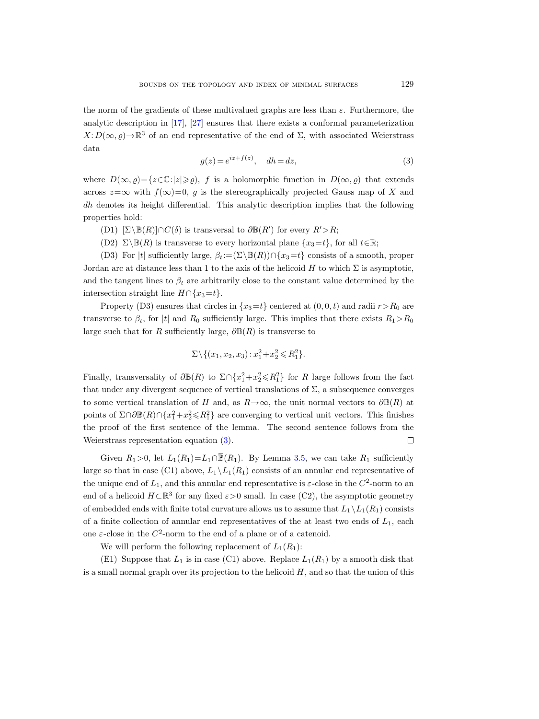the norm of the gradients of these multivalued graphs are less than  $\varepsilon$ . Furthermore, the analytic description in [\[17\]](#page-34-22), [\[27\]](#page-34-7) ensures that there exists a conformal parameterization  $X: D(\infty, \varrho) \to \mathbb{R}^3$  of an end representative of the end of  $\Sigma$ , with associated Weierstrass data

<span id="page-16-0"></span>
$$
g(z) = e^{iz + f(z)}, \quad dh = dz,
$$
\n
$$
(3)
$$

where  $D(\infty, \rho) = \{z \in \mathbb{C} : |z| \geqslant \rho\}$ , f is a holomorphic function in  $D(\infty, \rho)$  that extends across  $z=\infty$  with  $f(\infty)=0$ , g is the stereographically projected Gauss map of X and dh denotes its height differential. This analytic description implies that the following properties hold:

- (D1)  $[\Sigma \setminus \mathbb{B}(R)] \cap C(\delta)$  is transversal to  $\partial \mathbb{B}(R')$  for every  $R' > R$ ;
- (D2)  $\Sigma\backslash\mathbb{B}(R)$  is transverse to every horizontal plane  $\{x_3=t\}$ , for all  $t\in\mathbb{R}$ ;

(D3) For |t| sufficiently large,  $\beta_t := (\Sigma \backslash \mathbb{B}(R)) \cap \{x_3 = t\}$  consists of a smooth, proper Jordan arc at distance less than 1 to the axis of the helicoid H to which  $\Sigma$  is asymptotic, and the tangent lines to  $\beta_t$  are arbitrarily close to the constant value determined by the intersection straight line  $H \cap \{x_3=t\}.$ 

Property (D3) ensures that circles in  $\{x_3=t\}$  centered at  $(0, 0, t)$  and radii  $r > R_0$  are transverse to  $\beta_t$ , for |t| and  $R_0$  sufficiently large. This implies that there exists  $R_1 > R_0$ large such that for R sufficiently large,  $\partial \mathbb{B}(R)$  is transverse to

$$
\Sigma \setminus \{(x_1, x_2, x_3) : x_1^2 + x_2^2 \le R_1^2\}.
$$

Finally, transversality of  $\partial \mathbb{B}(R)$  to  $\Sigma \cap \{x_1^2 + x_2^2 \le R_1^2\}$  for R large follows from the fact that under any divergent sequence of vertical translations of  $\Sigma$ , a subsequence converges to some vertical translation of H and, as  $R \rightarrow \infty$ , the unit normal vectors to  $\partial \mathbb{B}(R)$  at points of  $\Sigma \cap \partial \mathbb{B}(R) \cap \{x_1^2 + x_2^2 \le R_1^2\}$  are converging to vertical unit vectors. This finishes the proof of the first sentence of the lemma. The second sentence follows from the Weierstrass representation equation [\(3\)](#page-16-0). Source to  $p_t$ , for  $|t|$  and  $R_0$  sumclently large. This implies that there exists  $R_1 > R_0$ <br>such that for R sufficiently large,  $\partial \mathbb{B}(R)$  is transverse to<br> $\Sigma \setminus \{(x_1, x_2, x_3) : x_1^2 + x_2^2 \leq R_1^2\}$ .<br>Illy, transvers

large so that in case (C1) above,  $L_1 \backslash L_1(R_1)$  consists of an annular end representative of the unique end of  $L_1$ , and this annular end representative is  $\varepsilon$ -close in the  $C^2$ -norm to an end of a helicoid  $H \subset \mathbb{R}^3$  for any fixed  $\varepsilon > 0$  small. In case (C2), the asymptotic geometry of embedded ends with finite total curvature allows us to assume that  $L_1 \backslash L_1(R_1)$  consists of a finite collection of annular end representatives of the at least two ends of  $L_1$ , each one  $\varepsilon$ -close in the  $C^2$ -norm to the end of a plane or of a catenoid.

We will perform the following replacement of  $L_1(R_1)$ :

(E1) Suppose that  $L_1$  is in case (C1) above. Replace  $L_1(R_1)$  by a smooth disk that is a small normal graph over its projection to the helicoid  $H$ , and so that the union of this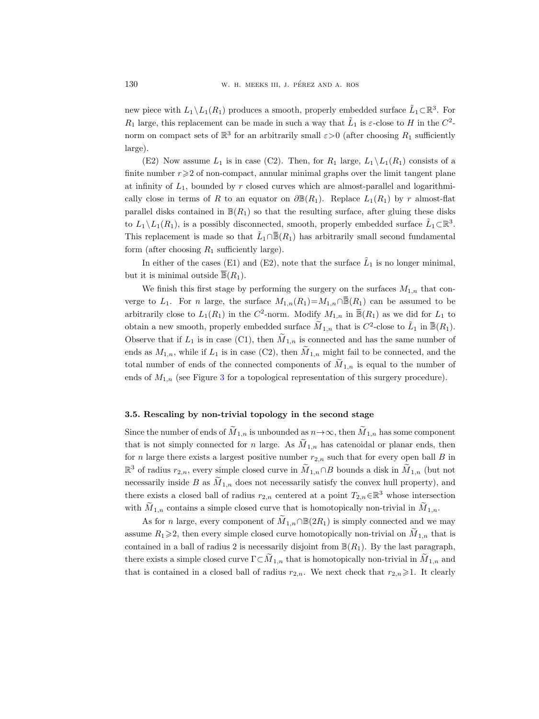new piece with  $L_1 \setminus L_1(R_1)$  produces a smooth, properly embedded surface  $\tilde{L}_1 \subset \mathbb{R}^3$ . For  $R_1$  large, this replacement can be made in such a way that  $\tilde{L}_1$  is  $\varepsilon$ -close to H in the  $C^2$ norm on compact sets of  $\mathbb{R}^3$  for an arbitrarily small  $\varepsilon > 0$  (after choosing  $R_1$  sufficiently large).

(E2) Now assume  $L_1$  is in case (C2). Then, for  $R_1$  large,  $L_1 \backslash L_1(R_1)$  consists of a finite number  $r \geq 2$  of non-compact, annular minimal graphs over the limit tangent plane at infinity of  $L_1$ , bounded by r closed curves which are almost-parallel and logarithmically close in terms of R to an equator on  $\partial \mathbb{B}(R_1)$ . Replace  $L_1(R_1)$  by r almost-flat parallel disks contained in  $\mathbb{B}(R_1)$  so that the resulting surface, after gluing these disks to  $L_1 \setminus L_1(R_1)$ , is a possibly disconnected, smooth, properly embedded surface  $\tilde{L}_1 \subset \mathbb{R}^3$ . This replacement is made so that  $\tilde{L}_1 \cap \overline{\mathbb{B}}(R_1)$  has arbitrarily small second fundamental a smooth, properly embedded surface  $\tilde{L}_1 \subset \mathbb{R}^3$ . For<br>de in such a way that  $\tilde{L}_1$  is  $\varepsilon$ -close to H in the  $C^2$ -<br>urbitrarily small  $\varepsilon > 0$  (after choosing  $R_1$  sufficiently<br>(C2). Then, for  $R_1$  large,  $L_$ form (after choosing  $R_1$  sufficiently large). (E2) Now assume  $L_1$  is in case (C2). Then, for  $L_1$  large,  $L_1 \setminus L_1(L_1)$  consists or a<br>finite number  $r \geqslant 2$  of non-compact, annular minimal graphs over the limit tangent plane<br>at infinity of  $L_1$ , bounded by r through the almost-parallel and logarithmi-<br>d curves which are almost-parallel and logarithmi-<br>tor on  $\partial \mathbb{B}(R_1)$ . Replace  $L_1(R_1)$  by r almost-flat<br>that the resulting surface, after gluing these disks<br>ceted, smooth, dmost-flat<br>these disks<br>these disks<br>ce  $\tilde{L}_1 \subset \mathbb{R}^3$ .<br>indamental<br>er minimal,<br> $n$  that con-<br>med to be<br>d for  $L_1$  to<br> $1$  in  $\overline{\mathbb{B}}(R_1)$ .

In either of the cases (E1) and (E2), note that the surface  $\tilde{L}_1$  is no longer minimal, but it is minimal outside  $\overline{\mathbb{B}}(R_1)$ .

We finish this first stage by performing the surgery on the surfaces  $M_{1,n}$  that conarbitrarily close to  $L_1(R_1)$  in the  $C^2$ obtain a new smooth, properly embedded surface  $\widetilde{M}_{1,n}$  that is  $C^2$ -close to  $\widetilde{L}$ Observe that if  $L_1$  is in case (C1), then  $\widetilde{M}_{1,n}$  is connected and has the same number of ends as  $M_{1,n}$ , while if  $L_1$  is in case (C2), then  $M_{1,n}$  might fail to be connected, and the total number of ends of the connected components of  $\tilde{M}_{1,n}$  is equal to the number of ends of  $M_{1,n}$  (see Figure [3](#page-18-0) for a topological representation of this surgery procedure).

## <span id="page-17-0"></span>3.5. Rescaling by non-trivial topology in the second stage

Since the number of ends of  $\widetilde{M}_{1,n}$  is unbounded as  $n \to \infty$ , then  $\widetilde{M}_{1,n}$  has some component that is not simply connected for n large. As  $\widetilde{M}_{1,n}$  has catenoidal or planar ends, then for n large there exists a largest positive number  $r_{2,n}$  such that for every open ball B in  $\mathbb{R}^3$  of radius  $r_{2,n}$ , every simple closed curve in  $M_{1,n} \cap B$  bounds a disk in  $M_{1,n}$  (but not necessarily inside B as  $\tilde{M}_{1,n}$  does not necessarily satisfy the convex hull property), and there exists a closed ball of radius  $r_{2,n}$  centered at a point  $T_{2,n} \in \mathbb{R}^3$  whose intersection with  $M_{1,n}$  contains a simple closed curve that is homotopically non-trivial in  $M_{1,n}$ .

As for n large, every component of  $\widetilde{M}_{1,n} \cap \mathbb{B}(2R_1)$  is simply connected and we may assume  $R_1\geq 2$ , then every simple closed curve homotopically non-trivial on  $M_{1,n}$  that is contained in a ball of radius 2 is necessarily disjoint from  $\mathbb{B}(R_1)$ . By the last paragraph, there exists a simple closed curve  $\Gamma \subset M_{1,n}$  that is homotopically non-trivial in  $M_{1,n}$  and that is contained in a closed ball of radius  $r_{2,n}$ . We next check that  $r_{2,n}\geq 1$ . It clearly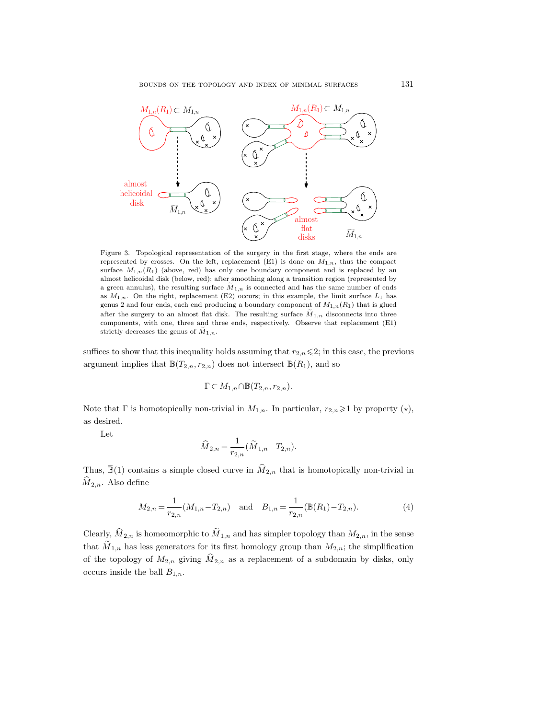

<span id="page-18-0"></span>Figure 3. Topological representation of the surgery in the first stage, where the ends are represented by crosses. On the left, replacement (E1) is done on  $M_{1,n}$ , thus the compact surface  $M_{1,n}(R_1)$  (above, red) has only one boundary component and is replaced by an almost helicoidal disk (below, red); after smoothing along a transition region (represented by a green annulus), the resulting surface  $\widetilde{M}_{1,n}$  is connected and has the same number of ends as  $M_{1,n}$ . On the right, replacement (E2) occurs; in this example, the limit surface  $L_1$  has genus 2 and four ends, each end producing a boundary component of  $M_{1,n}(R_1)$  that is glued after the surgery to an almost flat disk. The resulting surface  $\tilde{M}_{1,n}$  disconnects into three components, with one, three and three ends, respectively. Observe that replacement (E1) strictly decreases the genus of  $\widetilde{M}_{1,n}$ .

suffices to show that this inequality holds assuming that  $r_{2,n}\leq 2$ ; in this case, the previous argument implies that  $\mathbb{B}(T_{2,n}, r_{2,n})$  does not intersect  $\mathbb{B}(R_1)$ , and so

$$
\Gamma \subset M_{1,n} \cap \mathbb{B}(T_{2,n},r_{2,n}).
$$

Note that  $\Gamma$  is homotopically non-trivial in  $M_{1,n}$ . In particular,  $r_{2,n}\geq 1$  by property  $(\star)$ , as desired. suffices to show that this inequality holds assuming that  $r_{2,n} \leq 2$ ; in this case, the previous<br>argument implies that  $\mathbb{B}(T_{2,n}, r_{2,n})$  does not intersect  $\mathbb{B}(R_1)$ , and so<br> $\Gamma \subset M_{1,n} \cap \mathbb{B}(T_{2,n}, r_{2,n})$ .<br>Note that

Let

$$
\widehat{M}_{2,n}=\frac{1}{r_{2,n}}\big(\widetilde{M}_{1,n}-T_{2,n}\big).
$$

 $\widehat{M}_{2,n}$ . Also define

<span id="page-18-1"></span>
$$
M_{2,n} = \frac{1}{r_{2,n}} (M_{1,n} - T_{2,n}) \text{ and } B_{1,n} = \frac{1}{r_{2,n}} (\mathbb{B}(R_1) - T_{2,n}).
$$
 (4)

Clearly,  $\widehat{M}_{2,n}$  is homeomorphic to  $\widetilde{M}_{1,n}$  and has simpler topology than  $M_{2,n}$ , in the sense that  $M_{1,n}$  has less generators for its first homology group than  $M_{2,n}$ ; the simplification of the topology of  $M_{2,n}$  giving  $\widehat{M}_{2,n}$  as a replacement of a subdomain by disks, only occurs inside the ball  $B_{1,n}$ .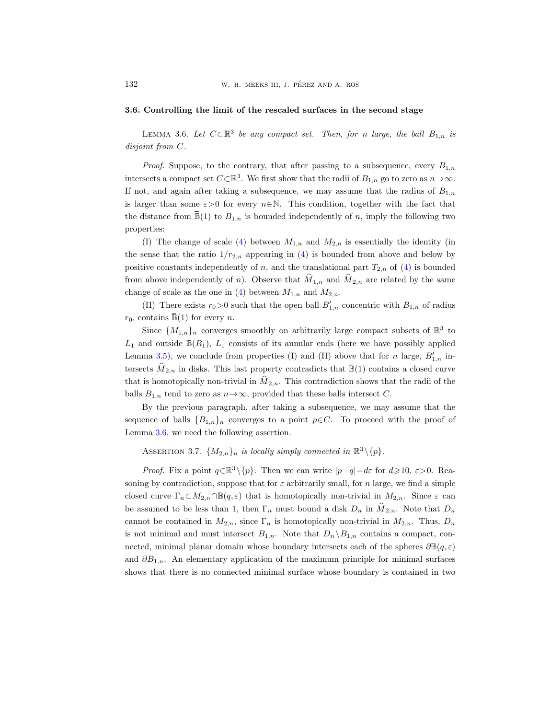### 3.6. Controlling the limit of the rescaled surfaces in the second stage

<span id="page-19-0"></span>LEMMA 3.6. Let  $C \subset \mathbb{R}^3$  be any compact set. Then, for n large, the ball  $B_{1,n}$  is disjoint from C.

*Proof.* Suppose, to the contrary, that after passing to a subsequence, every  $B_{1,n}$ intersects a compact set  $C \subset \mathbb{R}^3$ . We first show that the radii of  $B_{1,n}$  go to zero as  $n \to \infty$ . If not, and again after taking a subsequence, we may assume that the radius of  $B_{1n}$ is larger than some  $\varepsilon > 0$  for every  $n \in \mathbb{N}$ . This condition, together with the fact that 132 W. H. MEEKS III, J. PÉREZ AND A. ROS<br> **3.6. Controlling the limit of the rescaled surfaces in the second stage**<br>
LEMMA 3.6. Let  $C \subset \mathbb{R}^3$  be any compact set. Then, for n large, the ball  $B_{1,n}$  is<br>
disjoint from C properties:

(I) The change of scale [\(4\)](#page-18-1) between  $M_{1,n}$  and  $M_{2,n}$  is essentially the identity (in the sense that the ratio  $1/r_{2,n}$  appearing in [\(4\)](#page-18-1) is bounded from above and below by positive constants independently of n, and the translational part  $T_{2,n}$  of [\(4\)](#page-18-1) is bounded from above independently of n). Observe that  $\hat{M}_{1,n}$  and  $\hat{M}_{2,n}$  are related by the same change of scale as the one in [\(4\)](#page-18-1) between  $M_{1,n}$  and  $M_{2,n}$ . intersects a compact set  $C \subseteq \mathbb{F}$ <br>If not, and again after takin<br>is larger than some  $\varepsilon > 0$  for<br>the distance from  $\overline{\mathbb{B}}(1)$  to  $B_1$ <br>properties:<br>(I) The change of scale<br>the sense that the ratio  $1/r_2$ <br>positive co properties:<br>
(I) The change of scale (4) between  $M_{1,n}$  and  $M_{2,n}$  is essentially the identity (in<br>
the sense that the ratio  $1/r_{2,n}$  appearing in (4) is bounded from above and below by<br>
positive constants independently

(II) There exists  $r_0 > 0$  such that the open ball  $B'_{1,n}$  concentric with  $B_{1,n}$  of radius

Since  $\{M_{1,n}\}_n$  converges smoothly on arbitrarily large compact subsets of  $\mathbb{R}^3$  to  $L_1$  and outside  $\mathbb{B}(R_1)$ ,  $L_1$  consists of its annular ends (here we have possibly applied Lemma [3.5\)](#page-15-0), we conclude from properties (I) and (II) above that for n large,  $B'_{1,n}$  inthat is homotopically non-trivial in  $\hat{M}_{2,n}$ . This contradiction shows that the radii of the balls  $B_{1,n}$  tend to zero as  $n \rightarrow \infty$ , provided that these balls intersect C.

By the previous paragraph, after taking a subsequence, we may assume that the sequence of balls  ${B_{1,n}}_n$  converges to a point  $p \in \mathbb{C}$ . To proceed with the proof of Lemma [3.6,](#page-19-0) we need the following assertion.

<span id="page-19-1"></span>ASSERTION 3.7.  $\{M_{2,n}\}_n$  is locally simply connected in  $\mathbb{R}^3 \setminus \{p\}.$ 

*Proof.* Fix a point  $q \in \mathbb{R}^3 \setminus \{p\}$ . Then we can write  $|p-q|=d\varepsilon$  for  $d\geqslant 10$ ,  $\varepsilon > 0$ . Reasoning by contradiction, suppose that for  $\varepsilon$  arbitrarily small, for n large, we find a simple closed curve  $\Gamma_n \subset M_{2,n} \cap \mathbb{B}(q,\varepsilon)$  that is homotopically non-trivial in  $M_{2,n}$ . Since  $\varepsilon$  can be assumed to be less than 1, then  $\Gamma_n$  must bound a disk  $D_n$  in  $\hat{M}_{2,n}$ . Note that  $D_n$ cannot be contained in  $M_{2,n}$ , since  $\Gamma_n$  is homotopically non-trivial in  $M_{2,n}$ . Thus,  $D_n$ is not minimal and must intersect  $B_{1,n}$ . Note that  $D_n \backslash B_{1,n}$  contains a compact, connected, minimal planar domain whose boundary intersects each of the spheres  $\partial \mathbb{B}(q,\varepsilon)$ and  $\partial B_{1,n}$ . An elementary application of the maximum principle for minimal surfaces shows that there is no connected minimal surface whose boundary is contained in two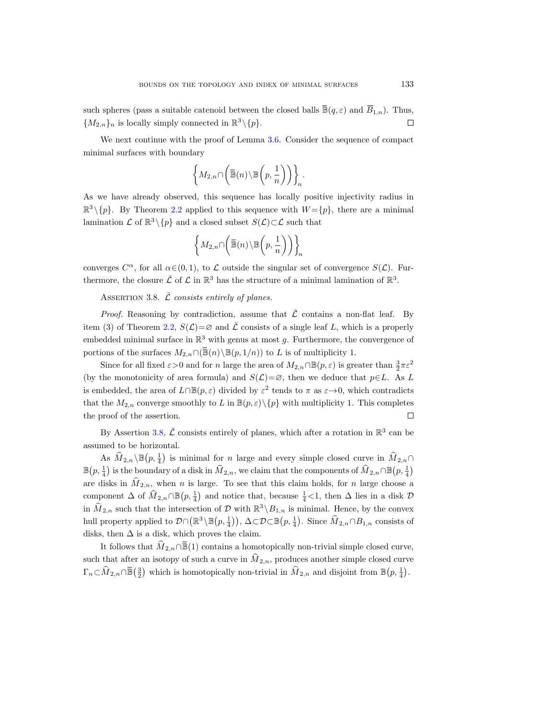BOUNDS ON THE TOPOLOGY AND INDEX OF MINIMAL SURFACES such spheres (pass a suitable catenoid between the closed balls  $\overline{\mathbb{B}}(q,\varepsilon)$  and  $\overline{B}$ between the closed balls  $\overline{\mathbb{B}}(q,\varepsilon)$  and  $\overline{B}_{1,n}$ ). Thus,  ${M_{2,n}}_n$  is locally simply connected in  $\mathbb{R}^3 \setminus \{p\}.$  $\Box$ 

We next continue with the proof of Lemma [3.6.](#page-19-0) Consider the sequence of compact minimal surfaces with boundary

$$
\left\{M_{2,n}\cap \left(\overline{\mathbb{B}}(n)\backslash \mathbb{B}\left(p,\frac{1}{n}\right)\right)\right\}_n.
$$

As we have already observed, this sequence has locally positive injectivity radius in  $\mathbb{R}^3 \setminus \{p\}$ . By Theorem [2.2](#page-4-1) applied to this sequence with  $W = \{p\}$ , there are a minimal lamination  $\mathcal L$  of  $\mathbb R^3 \setminus \{p\}$  and a closed subset  $S(\mathcal L) \subset \mathcal L$  such that

$$
\left\{M_{2,n}\cap\left(\overline{\mathbb{B}}(n)\backslash\mathbb{B}\left(p,\frac{1}{n}\right)\right)\right\}_n
$$

converges  $C^{\alpha}$ , for all  $\alpha \in (0, 1)$ , to  $\mathcal L$  outside the singular set of convergence  $S(\mathcal L)$ . Furthermore, the closure  $\bar{\mathcal{L}}$  of  $\mathcal{L}$  in  $\mathbb{R}^3$  has the structure of a minimal lamination of  $\mathbb{R}^3$ .

<span id="page-20-0"></span>ASSERTION 3.8.  $\bar{\mathcal{L}}$  consists entirely of planes.

*Proof.* Reasoning by contradiction, assume that  $\overline{\mathcal{L}}$  contains a non-flat leaf. By item (3) of Theorem [2.2,](#page-4-1)  $S(\mathcal{L})=\emptyset$  and  $\overline{\mathcal{L}}$  consists of a single leaf L, which is a properly embedded minimal surface in  $\mathbb{R}^3$  with genus at most g. Furthermore, the convergence of between the surfaces M2,n ∩( $\mathbb{B}(n) \setminus \mathbb{B}\left(p, \frac{1}{n}\right)$ )), and a closed subset  $S(\mathcal{L}) \subset \mathcal{L}$  such that<br>  $\left\{M_{2,n} \cap \left(\overline{\mathbb{B}}(n) \setminus \mathbb{B}\left(p, \frac{1}{n}\right)\right)\right\}$ ,<br>
converges  $C^{\alpha}$ , for all  $\alpha \in (0, 1)$ , to  $\mathcal{L}$ 

Since for all fixed  $\varepsilon > 0$  and for n large the area of  $M_{2,n} \cap \mathbb{B}(p,\varepsilon)$  is greater than  $\frac{3}{2}\pi\varepsilon^2$ (by the monotonicity of area formula) and  $S(\mathcal{L})=\emptyset$ , then we deduce that  $p\in L$ . As L is embedded, the area of  $L \cap \mathbb{B}(p, \varepsilon)$  divided by  $\varepsilon^2$  tends to  $\pi$  as  $\varepsilon \to 0$ , which contradicts that the  $M_{2,n}$  converge smoothly to L in  $\mathbb{B}(p,\varepsilon)\setminus\{p\}$  with multiplicity 1. This completes the proof of the assertion.

By Assertion [3.8,](#page-20-0)  $\bar{\mathcal{L}}$  consists entirely of planes, which after a rotation in  $\mathbb{R}^3$  can be assumed to be horizontal.

As  $\widehat{M}_{2,n} \setminus \mathbb{B}(p, \frac{1}{4})$  is minimal for *n* large and every simple closed curve in  $\widehat{M}_{2,n} \cap$  $\mathbb{B}(p, \frac{1}{4})$  is the boundary of a disk in  $\widehat{M}_{2,n}$ , we claim that the components of  $\widehat{M}_{2,n} \cap \mathbb{B}(p, \frac{1}{4})$ are disks in  $\hat{M}_{2,n}$ , when n is large. To see that this claim holds, for n large choose a component  $\Delta$  of  $\widehat{M}_{2,n} \cap \mathbb{B}(p, \frac{1}{4})$  and notice that, because  $\frac{1}{4}$ <1, then  $\Delta$  lies in a disk  $\mathcal{D}$ in  $\hat{M}_{2,n}$  such that the intersection of D with  $\mathbb{R}^3 \setminus B_{1,n}$  is minimal. Hence, by the convex hull property applied to  $\mathcal{D} \cap (\mathbb{R}^3 \setminus \mathbb{B}(p, \frac{1}{4}))$ ,  $\Delta \subset \mathcal{D} \subset \mathbb{B}(p, \frac{1}{4})$ . Since  $\widehat{M}_{2,n} \cap B_{1,n}$  consists of disks, then  $\Delta$  is a disk, which proves the claim. It follows that  $\hat{M}_{2,n}$  and notice that, because  $\frac{1}{4}$  and  $\hat{M}_{2,n}$  contains a homotopically is minimal for *n* large and every simple closed curve in  $\hat{M}_{2,n}$  and  $\frac{1}{4}$  is the boundary of a disk in  $\hat{M$ By Assen<br>assumed to b<br>As  $\hat{M}_{2,n}$ <br> $\mathbb{B}(p, \frac{1}{4})$  is the<br>are disks in .<br>component Δ<br>in  $\hat{M}_{2,n}$  such<br>hull property<br>disks, then Δ<br>It follow:<br>such that aft<br> $\Gamma_n \subset \hat{M}_{2,n} \cap \overline{\mathbb{B}}$ 

such that after an isotopy of such a curve in  $\hat{M}_{2,n}$ , produces another simple closed curve  $\left(\frac{3}{2}\right)$  which is homotopically non-trivial in  $\widehat{M}_{2,n}$  and disjoint from  $\mathbb{B}(p, \frac{1}{4})$ .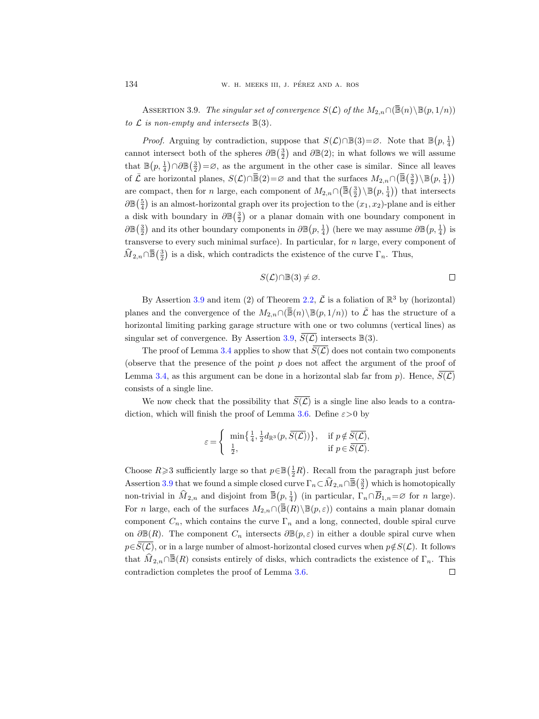W. H. MEEKS III, J. PÉREZ AND A. ROS<br>ASSERTION 3.9. *The singular set of convergence*  $S(\mathcal{L})$  *of the*  $M_{2,n} \cap (\overline{\mathbb{B}}(n)\backslash \mathbb{B}(p, 1/n))$ to  $\mathcal L$  is non-empty and intersects  $\mathbb B(3)$ .

<span id="page-21-0"></span>*Proof.* Arguing by contradiction, suppose that  $S(\mathcal{L}) \cap \mathbb{B}(3) = \emptyset$ . Note that  $\mathbb{B}(p, \frac{1}{4})$ cannot intersect both of the spheres  $\partial \mathbb{B}(\frac{3}{2})$  and  $\partial \mathbb{B}(2)$ ; in what follows we will assume that  $\mathbb{B}(p, \frac{1}{4}) \cap \partial \mathbb{B}(\frac{3}{2}) = \emptyset$ , as the argument in the other case is similar. Since all leaves **134** W. H. MEEKS III, J. PÉREZ AND A. ROS<br>
ASSERTION 3.9. The singular set of convergence  $S(\mathcal{L})$  of the  $M_{2,n} \cap (\text{to } \mathcal{L} \text{ is non-empty and intersects } \mathbb{B}(3)$ .<br> *Proof.* Arguing by contradiction, suppose that  $S(\mathcal{L}) \cap \mathbb{B}(3) = \emptyset$ .  $\left(\mathbb{\bar{B}} \left( \frac{3}{2} \right) \backslash \mathbb{B} \left( p, \frac{1}{4} \right) \right)$ are compact, then for n large, each component of  $M_{2,n} \cap (\overline{\mathbb{B}}(\frac{3}{2}) \setminus \mathbb{B}(p, \frac{1}{4}))$  that intersects  $\partial \mathbb{B}(\frac{5}{4})$  is an almost-horizontal graph over its projection to the  $(x_1, x_2)$ -plane and is either a disk with boundary in  $\partial \mathbb{B}(\frac{3}{2})$  or a planar domain with one boundary component in  $\partial \mathbb{B}(\frac{3}{2})$  and its other boundary components in  $\partial \mathbb{B}(p, \frac{1}{4})$  (here we may assume  $\partial \mathbb{B}(p, \frac{1}{4})$  is transverse to every such minimal surface). In particular, for n large, every component of to  $\mathcal{L}$  is <br>
Pro<br>
cannot i<br>
that  $\mathbb{B}$ ( $i$ <br>
of  $\bar{\mathcal{L}}$  are complex<br>
are complex<br>  $\partial \mathbb{B}(\frac{5}{4})$  is<br>
a disk w<br>  $\partial \mathbb{B}(\frac{3}{2})$  a<br>
transver<br>  $\widehat{M}_{2,n} \cap \overline{\mathbb{B}}$  $\left(\frac{3}{2}\right)$  is a disk, which contradicts the existence of the curve  $\Gamma_n$ . Thus, of  $\bar{\mathcal{L}}$  are horizontal planes,  $S(\mathcal{L}) \cap \bar{\mathbb{B}}(2) = \varnothing$  and that the surfaces  $M_{2,n} \cap (\bar{\mathbb{B}}(\frac{3}{2}) \setminus \mathbb{B}(p, \frac{1}{4}))$ <br>are compact, then for *n* large, each component of  $M_{2,n} \cap (\bar{\mathbb{B}}(\frac{3}{2}) \setminus \mathbb{B}(p, \frac{1}{4$ 

$$
S(\mathcal{L}) \cap \mathbb{B}(3) \neq \varnothing.
$$

By Assertion [3.9](#page-21-0) and item (2) of Theorem [2.2,](#page-4-1)  $\bar{\mathcal{L}}$  is a foliation of  $\mathbb{R}^3$  by (horizontal) horizontal limiting parking garage structure with one or two columns (vertical lines) as singular set of convergence. By Assertion [3.9,](#page-21-0)  $S(\mathcal{L})$  intersects  $\mathbb{B}(3)$ .

The proof of Lemma [3.4](#page-13-0) applies to show that  $\overline{S(\mathcal{L})}$  does not contain two components (observe that the presence of the point  $p$  does not affect the argument of the proof of Lemma [3.4,](#page-13-0) as this argument can be done in a horizontal slab far from p). Hence,  $S(\mathcal{L})$ consists of a single line. The proof of Lemma 3.4 applies to show that  $\overline{S(\mathcal{L})}$  does n<br>(observe that the presence of the point  $p$  does not affect the<br>Lemma 3.4, as this argument can be done in a horizontal slal<br>consists of a single line.<br>We (observe that the presence of the point<br>Lemma 3.4, as this argument can be don<br>consists of a single line.<br>We now check that the possibility t<br>diction, which will finish the proof of Le<br> $\varepsilon = \begin{cases} \min\left\{\frac{1}{4}, \frac{1}{2}d_{\mathbb{R$ (i) solution is a single line also<br>
(*C*) is a single line also<br>
(*C*) is a single line also<br>
(*C*) is a single line also<br>
(*C*) is a single line also<br>
(*C*) if  $p \notin \overline{S(\mathcal{L})}$ ,<br>
(*C*) if  $p \in \overline{S(\mathcal{L})}$ .<br>
(*C*) if  $p$ 

We now check that the possibility that  $\overline{S(\mathcal{L})}$  is a single line also leads to a contra-diction, which will finish the proof of Lemma [3.6.](#page-19-0) Define  $\varepsilon > 0$  by

$$
\varepsilon = \begin{cases} \min\left\{\frac{1}{4},\frac{1}{2}d_{\mathbb{R}^3}(p,\overline{S(\mathcal{L})})\right\}, & \text{if } p \notin \overline{S(\mathcal{L})}, \\ \frac{1}{2}, & \text{if } p \in \overline{S(\mathcal{L})}. \end{cases}
$$

Lemma 3.4, as this argument can be done in a horizontal slab far from  $p$ ). Hence,  $\overline{S(\mathcal{L})}$ <br>consists of a single line.<br>We now check that the possibility that  $\overline{S(\mathcal{L})}$  is a single line also leads to a contra-<br>d  $\varepsilon = \begin{cases} \begin{array}{ll} \min\left\{\frac{1}{4},\frac{1}{2}d_{\mathbb{R}^3}(p,\overline{S(\mathcal{L})})\right\}, & \text{if } p \notin \overline{S(\mathcal{L})}, \\ \frac{1}{2}, & \text{if } p \in \overline{S(\mathcal{L})}. \end{array} \end{cases}$ <br>Choose  $R \geqslant 3$  sufficiently large so that  $p \in \mathbb{B}(\frac{1}{2}R)$ . Recall from the paragraph j Choose  $R \ge 3$  sufficiently large so that  $p \in \mathbb{B}(\frac{1}{2}R)$ . Recall from the paragraph just before  $\left(\frac{3}{2}\right)$  which is homotopically  $(p, \frac{1}{4})$  (in particular,  $\Gamma_n \cap \overline{B}_{1,n} = \emptyset$  for *n* large). component  $C_n$ , which contains the curve  $\Gamma_n$  and a long, connected, double spiral curve on  $\partial \mathbb{B}(R)$ . The component  $C_n$  intersects  $\partial \mathbb{B}(p,\varepsilon)$  in either a double spiral curve when  $p \in S(\mathcal{L})$ , or in a large number of almost-horizontal closed curves when  $p \notin S(\mathcal{L})$ . It follows contradiction completes the proof of Lemma [3.6.](#page-19-0) $\Box$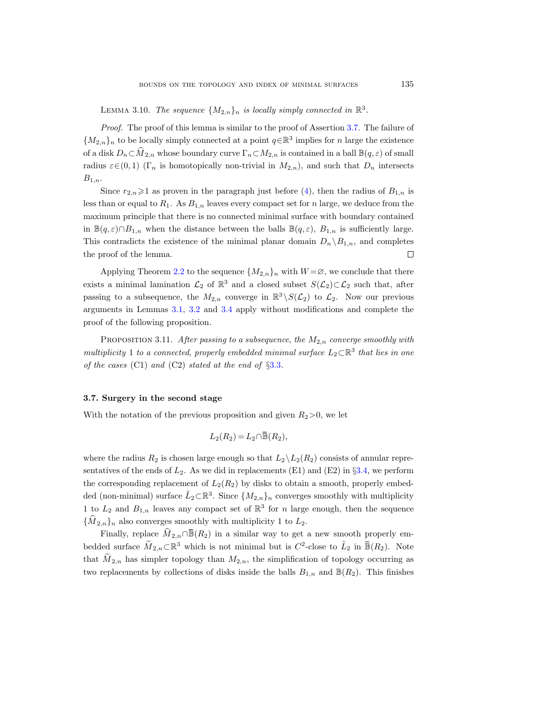<span id="page-22-0"></span>LEMMA 3.10. The sequence  $\{M_{2,n}\}_n$  is locally simply connected in  $\mathbb{R}^3$ .

Proof. The proof of this lemma is similar to the proof of Assertion [3.7.](#page-19-1) The failure of  ${M_{2,n}}_n$  to be locally simply connected at a point  $q \in \mathbb{R}^3$  implies for n large the existence of a disk  $D_n \subset \hat{M}_{2,n}$  whose boundary curve  $\Gamma_n \subset M_{2,n}$  is contained in a ball  $\mathbb{B}(q,\varepsilon)$  of small radius  $\varepsilon \in (0,1)$  (Γ<sub>n</sub> is homotopically non-trivial in  $M_{2,n}$ ), and such that  $D_n$  intersects  $B_{1,n}$ .

Since  $r_{2,n}\geq 1$  as proven in the paragraph just before [\(4\)](#page-18-1), then the radius of  $B_{1,n}$  is less than or equal to  $R_1$ . As  $B_{1,n}$  leaves every compact set for n large, we deduce from the maximum principle that there is no connected minimal surface with boundary contained in  $\mathbb{B}(q,\varepsilon)\cap B_{1,n}$  when the distance between the balls  $\mathbb{B}(q,\varepsilon), B_{1,n}$  is sufficiently large. This contradicts the existence of the minimal planar domain  $D_n \setminus B_{1,n}$ , and completes the proof of the lemma.  $\Box$ 

Applying Theorem [2.2](#page-4-1) to the sequence  $\{M_{2,n}\}_n$  with  $W = \varnothing$ , we conclude that there exists a minimal lamination  $\mathcal{L}_2$  of  $\mathbb{R}^3$  and a closed subset  $S(\mathcal{L}_2) \subset \mathcal{L}_2$  such that, after passing to a subsequence, the  $M_{2,n}$  converge in  $\mathbb{R}^3 \setminus S(\mathcal{L}_2)$  to  $\mathcal{L}_2$ . Now our previous arguments in Lemmas [3.1,](#page-8-0) [3.2](#page-9-1) and [3.4](#page-13-0) apply without modifications and complete the proof of the following proposition.

<span id="page-22-1"></span>PROPOSITION 3.11. After passing to a subsequence, the  $M_{2,n}$  converge smoothly with multiplicity 1 to a connected, properly embedded minimal surface  $L_2 \subset \mathbb{R}^3$  that lies in one of the cases  $(C1)$  and  $(C2)$  stated at the end of  $\S 3.3$  $\S 3.3$ .  $\lim_{2,n}$  converge in  $\mathbb{R}^n$  and 3.4 apply without<br>  $\lim_{2n}$  in a subsequence<br>  $\lim_{2n}$  is a subsequence<br>  $\lim_{2n}$  is at the end of §3.3.<br>  $\mathbb{R}$ <br>  $\mathbb{R}$  proposition and give<br>  $L_2(R_2) = L_2 \cap \overline{\mathbb{B}}(R_2),$ 

### 3.7. Surgery in the second stage

With the notation of the previous proposition and given  $R_2>0$ , we let

$$
L_2(R_2) = L_2 \cap \overline{\mathbb{B}}(R_2),
$$

where the radius  $R_2$  is chosen large enough so that  $L_2 \backslash L_2(R_2)$  consists of annular representatives of the ends of  $L_2$ . As we did in replacements (E1) and (E2) in §[3.4,](#page-15-1) we perform the corresponding replacement of  $L_2(R_2)$  by disks to obtain a smooth, properly embedded (non-minimal) surface  $\tilde{L}_2 \subset \mathbb{R}^3$ . Since  $\{M_{2,n}\}_n$  converges smoothly with multiplicity 1 to  $L_2$  and  $B_{1,n}$  leaves any compact set of  $\mathbb{R}^3$  for n large enough, then the sequence  $\{\dot{M}_{2,n}\}_n$  also converges smoothly with multiplicity 1 to  $L_2$ . **Surgery in the second stage**<br>
1 the notation of the previous proposition and given  $R_2 > 0$ , we let<br>  $L_2(R_2) = L_2 \cap \overline{\mathbb{B}}(R_2)$ ,<br>
2: the radius  $R_2$  is chosen large enough so that  $L_2 \setminus L_2(R_2)$  consists of annular Example of annular repre-<br>
2 in §3.4, we perform<br>
2 in properly embed-<br>
2 in  $\overline{\mathbb{B}}(R_2)$ . Note

bedded surface  $\widetilde{M}_{2,n} \subset \mathbb{R}^3$  which is not minimal but is  $C^2$ -close to  $\widetilde{L}$ that  $M_{2,n}$  has simpler topology than  $M_{2,n}$ , the simplification of topology occurring as two replacements by collections of disks inside the balls  $B_{1,n}$  and  $\mathbb{B}(R_2)$ . This finishes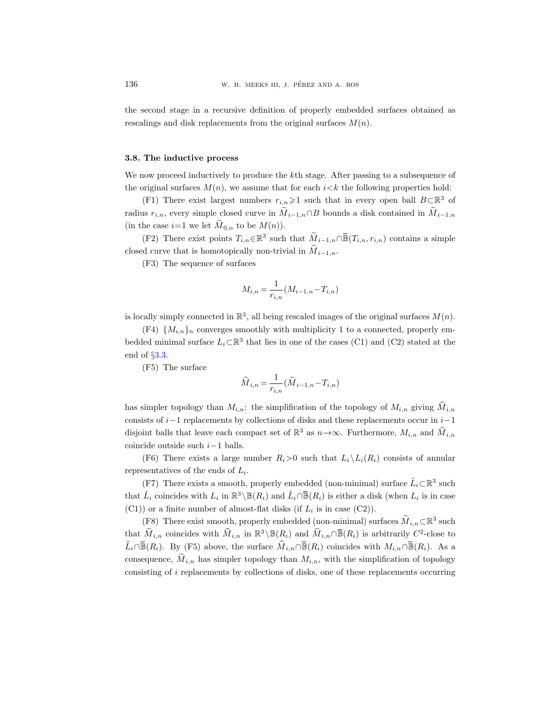the second stage in a recursive definition of properly embedded surfaces obtained as rescalings and disk replacements from the original surfaces  $M(n)$ .

#### 3.8. The inductive process

We now proceed inductively to produce the kth stage. After passing to a subsequence of the original surfaces  $M(n)$ , we assume that for each  $i < k$  the following properties hold:

(F1) There exist largest numbers  $r_{i,n} \geq 1$  such that in every open ball  $B \subset \mathbb{R}^3$  of radius  $r_{i,n}$ , every simple closed curve in  $\widetilde{M}_{i-1,n} \cap B$  bounds a disk contained in  $\widetilde{M}_{i-1,n}$ (in the case  $i=1$  we let  $M_{0,n}$  to be  $M(n)$ ). tion of properly embedded surfaces obtained as<br>the original surfaces  $M(n)$ .<br>e the *k*th stage. After passing to a subsequence of<br>that for each *i*<*k* the following properties hold:<br> $r_{i,n} \ge 1$  such that in every open bal

(F2) There exist points  $T_{i,n} \in \mathbb{R}^3$ closed curve that is homotopically non-trivial in  $M_{i-1,n}$ .

(F3) The sequence of surfaces

$$
M_{i,n} = \frac{1}{r_{i,n}} (M_{i-1,n} - T_{i,n})
$$

is locally simply connected in  $\mathbb{R}^3$ , all being rescaled images of the original surfaces  $M(n)$ .

(F4)  $\{M_{i,n}\}_n$  converges smoothly with multiplicity 1 to a connected, properly embedded minimal surface  $L_i \subset \mathbb{R}^3$  that lies in one of the cases (C1) and (C2) stated at the end of §[3.3.](#page-8-1)

(F5) The surface

$$
\hat{\boldsymbol{M}}_{i,n} = \frac{1}{r_{i,n}}(\tilde{\boldsymbol{M}}_{i-1,n} - \boldsymbol{T}_{i,n})
$$

has simpler topology than  $M_{i,n}$ : the simplification of the topology of  $M_{i,n}$  giving  $\hat{M}_{i,n}$ consists of  $i-1$  replacements by collections of disks and these replacements occur in  $i-1$ disjoint balls that leave each compact set of  $\mathbb{R}^3$  as  $n \to \infty$ . Furthermore,  $M_{i,n}$  and  $\widehat{M}_{i,n}$ coincide outside such  $i-1$  balls.  $\tilde{H}_{i-1,n} - T_{i,n}$ <br>cation of the topology of  $M_{i,n}$  gif<br>disks and these replacements occ<br> $\mathbb{R}^3$  as  $n \to \infty$ . Furthermore,  $M_{i,n}$ <br>0 such that  $L_i \backslash L_i(R_i)$  consists of<br>hedded (non-minimal) surface  $\tilde{L}_i$ <br> $\alpha \Box \overline{\$ be simplification of the topology of  $M_{i,n}$  givections of disks and these replacements occ<br>ct set of  $\mathbb{R}^3$  as  $n \to \infty$ . Furthermore,  $M_{i,n}$ <br>ber  $R_i > 0$  such that  $L_i \backslash L_i(R_i)$  consists c<br>opperly embedded (non-minima is simpler topology than  $M_{i,n}$ : the simplification of the topology of  $M_{i,n}$  giving  $M_{i,n}$ <br>onsists of  $i-1$  replacements by collections of disks and these replacements occur in  $i-1$ <br>isjoint balls that leave each comp

(F6) There exists a large number  $R_i>0$  such that  $L_i\backslash L_i(R_i)$  consists of annular representatives of the ends of  $L_i$ .

(F7) There exists a smooth, properly embedded (non-minimal) surface  $\tilde{L}_i \subset \mathbb{R}^3$  such that  $\tilde{L}_i$  coincides with  $L_i$  in  $\mathbb{R}^3 \setminus \mathbb{B}(R_i)$  and  $\tilde{L}_i \cap \overline{\mathbb{B}}(R_i)$  is either a disk (when  $L_i$  is in case  $(C1)$  or a finite number of almost-flat disks (if  $L_i$  is in case  $(C2)$ ).

(F8) There exist smooth, properly embedded (non-minimal) surfaces  $\overline{M}_{i,n} \subset \mathbb{R}^3$  such that  $M_{i,n}$  coincides with  $\hat{M}_{i,n}$  in  $\mathbb{R}^3 \backslash \mathbb{B}(R_i)$  and  $\hat{M}_{i,n} \cap \overline{\mathbb{B}}(R_i)$  is arbitrarily  $C^2$ -close to  $\tilde{L}_i \cap \overline{\mathbb{B}}(R_i)$ . By (F5) above, the surface  $\widehat{M}_{i,n} \cap \overline{\mathbb{B}}(R_i)$  coincides with  $M_{i,n} \cap \overline{\mathbb{B}}(R_i)$ . As a consequence,  $\dot{M}_{i,n}$  has simpler topology than  $M_{i,n}$ , with the simplification of topology consisting of i replacements by collections of disks, one of these replacements occurring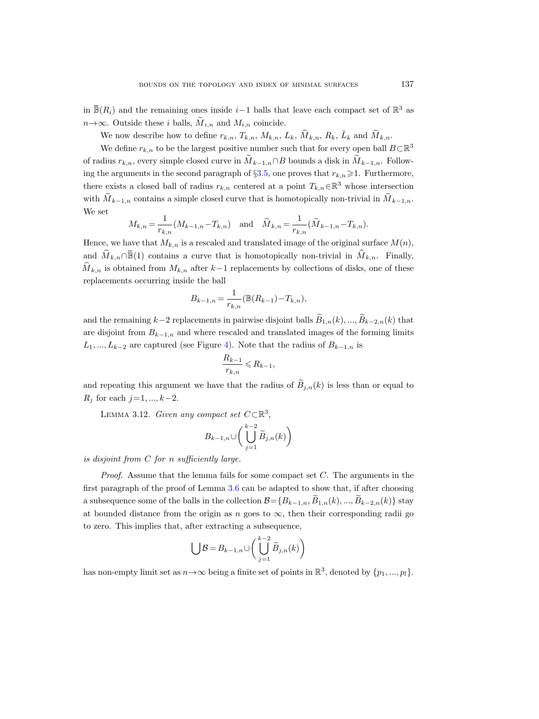in  $\bar{\mathbb{B}}(R_i)$  and the remaining ones inside  $i-1$  balls that leave each compact set of  $\mathbb{R}$ in  $\mathbb{B}(R_i)$  and the remaining ones inside  $i-1$  balls that leave each compact set of  $\mathbb{R}^3$  as  $n \rightarrow \infty$ . Outside these i balls,  $\widetilde{M}_{i,n}$  and  $M_{i,n}$  coincide.

We now describe how to define  $r_{k,n}$ ,  $T_{k,n}$ ,  $M_{k,n}$ ,  $L_k$ ,  $\hat{M}_{k,n}$ ,  $R_k$ ,  $\tilde{L}_k$  and  $\tilde{M}_{k,n}$ .

We define  $r_{k,n}$  to be the largest positive number such that for every open ball  $B\subset \mathbb{R}^3$ of radius  $r_{k,n}$ , every simple closed curve in  $\tilde{M}_{k-1,n} \cap B$  bounds a disk in  $\tilde{M}_{k-1,n}$ . Following the arguments in the second paragraph of  $\S 3.5$ , one proves that  $r_{k,n} \geq 1$ . Furthermore, there exists a closed ball of radius  $r_{k,n}$  centered at a point  $T_{k,n} \in \mathbb{R}^3$  whose intersection with  $M_{k-1,n}$  contains a simple closed curve that is homotopically non-trivial in  $M_{k-1,n}$ . We set  $n \rightarrow \infty$ . Outside these *i* balls,  $\widetilde{M}_{i,n}$  and  $M_{i,n}$  coincide.<br>
We now describe how to define  $r_{k,n}, T_{k,n}, M_{k,n}, L_k, \widehat{M}_{k,n}, R_k, \tilde{L}_k$  and  $\widetilde{M}_{k,n}$ .<br>
We define  $r_{k,n}$  to be the largest positive number such tha

$$
M_{k,n} = \frac{1}{r_{k,n}} (M_{k-1,n} - T_{k,n}) \text{ and } \hat{M}_{k,n} = \frac{1}{r_{k,n}} (\tilde{M}_{k-1,n} - T_{k,n}).
$$

Hence, we have that  $M_{k,n}$  is a rescaled and translated image of the original surface  $M(n)$ ,  $\widehat{M}_{k,n}$  is obtained from  $M_{k,n}$  after k-1 replacements by collections of disks, one of these replacements occurring inside the ball

$$
B_{k-1,n} = \frac{1}{r_{k,n}} (\mathbb{B}(R_{k-1}) - T_{k,n}),
$$

and the remaining k−2 replacements in pairwise disjoint balls  $\widetilde{B}_{1,n}(k), ..., \widetilde{B}_{k-2,n}(k)$  that are disjoint from  $B_{k-1,n}$  and where rescaled and translated images of the forming limits  $L_1, ..., L_{k-2}$  are captured (see Figure [4\)](#page-25-0). Note that the radius of  $B_{k-1,n}$  is

$$
\frac{R_{k-1}}{r_{k,n}} \leq R_{k-1},
$$

and repeating this argument we have that the radius of  $\tilde{B}_{i,n}(k)$  is less than or equal to  $R_j$  for each  $j=1, ..., k-2$ .

<span id="page-24-0"></span>LEMMA 3.12. Given any compact set  $C \subset \mathbb{R}^3$ ,

$$
B_{k-1,n} \cup \bigg(\bigcup_{j=1}^{k-2} \widetilde{B}_{j,n}(k)\bigg)
$$

is disjoint from  $C$  for n sufficiently large.

*Proof.* Assume that the lemma fails for some compact set  $C$ . The arguments in the first paragraph of the proof of Lemma [3.6](#page-19-0) can be adapted to show that, if after choosing a subsequence some of the balls in the collection  $\mathcal{B}={B_{k-1,n}, \tilde{B}_{1,n}(k), ..., \tilde{B}_{k-2,n}(k)}$  stay at bounded distance from the origin as n goes to  $\infty$ , then their corresponding radii go to zero. This implies that, after extracting a subsequence,

$$
\bigcup \mathcal{B} = B_{k-1,n} \cup \left( \bigcup_{j=1}^{k-2} \widetilde{B}_{j,n}(k) \right)
$$

has non-empty limit set as  $n \to \infty$  being a finite set of points in  $\mathbb{R}^3$ , denoted by  $\{p_1, ..., p_l\}$ .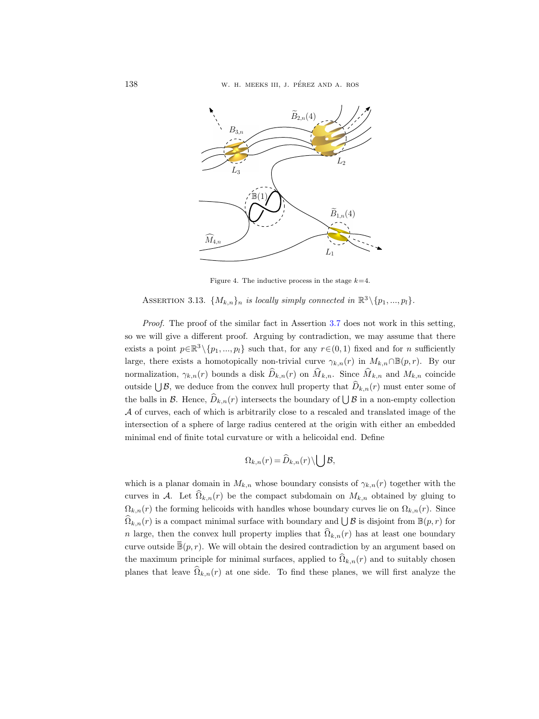

<span id="page-25-0"></span>Figure 4. The inductive process in the stage  $k=4$ .

ASSERTION 3.13.  $\{M_{k,n}\}_n$  is locally simply connected in  $\mathbb{R}^3 \setminus \{p_1, ..., p_l\}$ .

Proof. The proof of the similar fact in Assertion [3.7](#page-19-1) does not work in this setting, so we will give a different proof. Arguing by contradiction, we may assume that there exists a point  $p \in \mathbb{R}^3 \setminus \{p_1, ..., p_l\}$  such that, for any  $r \in (0, 1)$  fixed and for *n* sufficiently large, there exists a homotopically non-trivial curve  $\gamma_{k,n}(r)$  in  $M_{k,n} \cap \mathbb{B}(p,r)$ . By our normalization,  $\gamma_{k,n}(r)$  bounds a disk  $\widehat{D}_{k,n}(r)$  on  $\widehat{M}_{k,n}$ . Since  $\widehat{M}_{k,n}$  and  $M_{k,n}$  coincide outside  $\bigcup \mathcal{B}$ , we deduce from the convex hull property that  $\widehat{D}_{k,n}(r)$  must enter some of the balls in  $\mathcal{B}$ . Hence,  $\widehat{D}_{k,n}(r)$  intersects the boundary of  $\bigcup \mathcal{B}$  in a non-empty collection A of curves, each of which is arbitrarily close to a rescaled and translated image of the intersection of a sphere of large radius centered at the origin with either an embedded minimal end of finite total curvature or with a helicoidal end. Define

$$
\Omega_{k,n}(r)=\widehat{D}_{k,n}(r)\backslash\bigcup\mathcal{B},
$$

which is a planar domain in  $M_{k,n}$  whose boundary consists of  $\gamma_{k,n}(r)$  together with the curves in A. Let  $\Omega_{k,n}(r)$  be the compact subdomain on  $M_{k,n}$  obtained by gluing to  $\Omega_{k,n}(r)$  the forming helicoids with handles whose boundary curves lie on  $\Omega_{k,n}(r)$ . Since  $\widehat{\Omega}_{k,n}(r)$  is a compact minimal surface with boundary and  $\bigcup \mathcal{B}$  is disjoint from  $\mathbb{B}(p,r)$  for n large, then the convex hull property implies that  $\hat{\Omega}_{k,n}(r)$  has at least one boundary *A* of curves, each of which is arbitrarily close to a rescaled and translated image of the<br>intersection of a sphere of large radius centered at the origin with either an embedded<br>minimal end of finite total curvature or the maximum principle for minimal surfaces, applied to  $\widehat{\Omega}_{k,n}(r)$  and to suitably chosen planes that leave  $\hat{\Omega}_{k,n}(r)$  at one side. To find these planes, we will first analyze the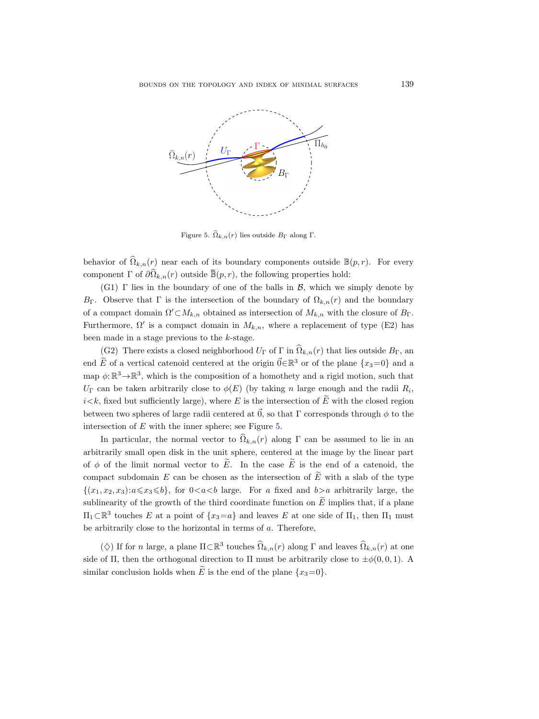

<span id="page-26-0"></span>Figure 5.  $\Omega_{k,n}(r)$  lies outside  $B_{\Gamma}$  along  $\Gamma$ .

behavior of  $\widehat{\Omega}_{k,n}(r)$  near each of its boundary components outside  $\mathbb{B}(p,r)$ . For every

(G1)  $\Gamma$  lies in the boundary of one of the balls in  $\mathcal{B}$ , which we simply denote by  $B_{\Gamma}$ . Observe that  $\Gamma$  is the intersection of the boundary of  $\Omega_{k,n}(r)$  and the boundary of a compact domain  $\Omega' \subset M_{k,n}$  obtained as intersection of  $M_{k,n}$  with the closure of  $B_{\Gamma}$ . Furthermore,  $\Omega'$  is a compact domain in  $M_{k,n}$ , where a replacement of type (E2) has been made in a stage previous to the k-stage.

(G2) There exists a closed neighborhood  $U_{\Gamma}$  of  $\Gamma$  in  $\widehat{\Omega}_{k,n}(r)$  that lies outside  $B_{\Gamma}$ , an end  $\widetilde{E}$  of a vertical catenoid centered at the origin  $\vec{0} \in \mathbb{R}^3$  or of the plane  $\{x_3=0\}$  and a map  $\phi: \mathbb{R}^3 \to \mathbb{R}^3$ , which is the composition of a homothety and a rigid motion, such that  $U_{\Gamma}$  can be taken arbitrarily close to  $\phi(E)$  (by taking n large enough and the radii  $R_i$ ,  $i < k$ , fixed but sufficiently large), where E is the intersection of E with the closed region between two spheres of large radii centered at  $\vec{0}$ , so that Γ corresponds through  $\phi$  to the intersection of  $E$  with the inner sphere; see Figure [5.](#page-26-0)

In particular, the normal vector to  $\widehat{\Omega}_{k,n}(r)$  along Γ can be assumed to lie in an arbitrarily small open disk in the unit sphere, centered at the image by the linear part of  $\phi$  of the limit normal vector to  $\widetilde{E}$ . In the case  $\widetilde{E}$  is the end of a catenoid, the compact subdomain E can be chosen as the intersection of  $\tilde{E}$  with a slab of the type  $\{(x_1, x_2, x_3): a \le x_3 \le b\}$ , for  $0 < a < b$  large. For a fixed and  $b > a$  arbitrarily large, the sublinearity of the growth of the third coordinate function on  $\tilde{E}$  implies that, if a plane  $\Pi_1$ ⊂ $\mathbb{R}^3$  touches E at a point of  $\{x_3 = a\}$  and leaves E at one side of  $\Pi_1$ , then  $\Pi_1$  must be arbitrarily close to the horizontal in terms of  $a$ . Therefore,

( $\Diamond$ ) If for *n* large, a plane  $\Pi \subset \mathbb{R}^3$  touches  $\Omega_{k,n}(r)$  along  $\Gamma$  and leaves  $\Omega_{k,n}(r)$  at one side of Π, then the orthogonal direction to Π must be arbitrarily close to  $\pm \phi(0, 0, 1)$ . A similar conclusion holds when  $\widetilde{E}$  is the end of the plane  $\{x_3=0\}$ .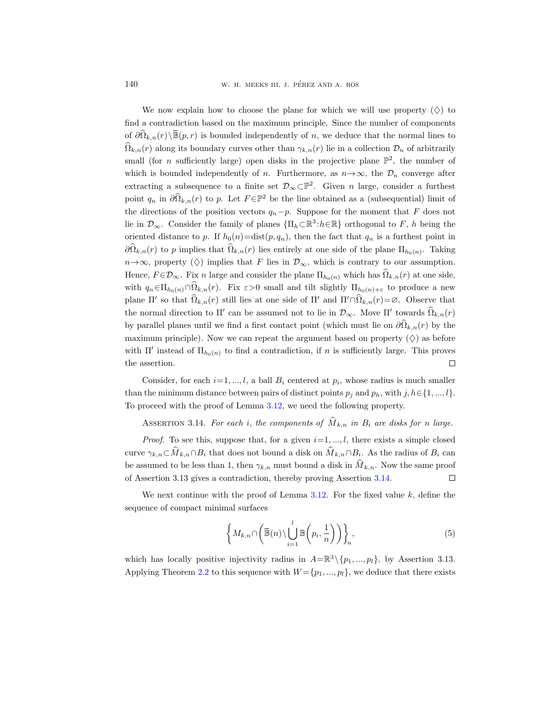**OF** 140 W. H. MEEKS III, J. PÉREZ AND A. ROS<br>
We now explain how to choose the plane for which we will use property  $(\diamondsuit)$  to<br>
find a contradiction based on the maximum principle. Since the number of components<br>
of  $\partial \hat$ We now explain how to choose the plane for which we will use property  $(\diamond)$  to find a contradiction based on the maximum principle. Since the number of components  $\hat{\Omega}_{k,n}(r)$  along its boundary curves other than  $\gamma_{k,n}(r)$  lie in a collection  $\mathcal{D}_n$  of arbitrarily small (for *n* sufficiently large) open disks in the projective plane  $\mathbb{P}^2$ , the number of which is bounded independently of n. Furthermore, as  $n \rightarrow \infty$ , the  $\mathcal{D}_n$  converge after extracting a subsequence to a finite set  $\mathcal{D}_{\infty}\subset\mathbb{P}^2$ . Given n large, consider a furthest point  $q_n$  in  $\partial \widehat{\Omega}_{k,n}(r)$  to p. Let  $F \in \mathbb{P}^2$  be the line obtained as a (subsequential) limit of the directions of the position vectors  $q_n-p$ . Suppose for the moment that F does not lie in  $\mathcal{D}_{\infty}$ . Consider the family of planes  $\{\Pi_h \subset \mathbb{R}^3 : h \in \mathbb{R}\}$  orthogonal to F, h being the oriented distance to p. If  $h_0(n) = \text{dist}(p, q_n)$ , then the fact that  $q_n$  is a furthest point in  $\partial\Omega_{k,n}(r)$  to p implies that  $\Omega_{k,n}(r)$  lies entirely at one side of the plane  $\Pi_{h_0(n)}$ . Taking  $n \rightarrow \infty$ , property  $(\Diamond)$  implies that F lies in  $\mathcal{D}_{\infty}$ , which is contrary to our assumption. Hence,  $F \in \mathcal{D}_{\infty}$ . Fix n large and consider the plane  $\Pi_{h_0(n)}$  which has  $\Omega_{k,n}(r)$  at one side, with  $q_n \in \Pi_{h_0(n)} \cap \Omega_{k,n}(r)$ . Fix  $\varepsilon > 0$  small and tilt slightly  $\Pi_{h_0(n)+\varepsilon}$  to produce a new plane  $\Pi'$  so that  $\Omega_{k,n}(r)$  still lies at one side of  $\Pi'$  and  $\Pi' \cap \Omega_{k,n}(r) = \emptyset$ . Observe that the normal direction to  $\Pi'$  can be assumed not to lie in  $\mathcal{D}_{\infty}$ . Move  $\Pi'$  towards  $\Omega_{k,n}(r)$ by parallel planes until we find a first contact point (which must lie on  $\partial\Omega_{k,n}(r)$  by the maximum principle). Now we can repeat the argument based on property  $(\diamondsuit)$  as before with  $\Pi'$  instead of  $\Pi_{h_0(n)}$  to find a contradiction, if n is sufficiently large. This proves the assertion.  $\Box$ 

Consider, for each  $i=1, ..., l$ , a ball  $B_i$  centered at  $p_i$ , whose radius is much smaller than the minimum distance between pairs of distinct points  $p_j$  and  $p_h$ , with  $j, h \in \{1, ..., l\}$ . To proceed with the proof of Lemma [3.12,](#page-24-0) we need the following property.

<span id="page-27-0"></span>ASSERTION 3.14. For each i, the components of  $\hat{M}_{k,n}$  in  $B_i$  are disks for n large.

*Proof.* To see this, suppose that, for a given  $i=1, ..., l$ , there exists a simple closed curve  $\gamma_{k,n} \subset M_{k,n} \cap B_i$  that does not bound a disk on  $M_{k,n} \cap B_i$ . As the radius of  $B_i$  can be assumed to be less than 1, then  $\gamma_{k,n}$  must bound a disk in  $\hat{M}_{k,n}$ . Now the same proof of Assertion 3.13 gives a contradiction, thereby proving Assertion [3.14.](#page-27-0)  $\Box$ 

We next continue with the proof of Lemma [3.12.](#page-24-0) For the fixed value  $k$ , define the sequence of compact minimal surfaces

<span id="page-27-1"></span>
$$
\left\{ M_{k,n} \cap \left( \overline{\mathbb{B}}(n) \setminus \bigcup_{i=1}^{l} \mathbb{B}\left(p_i, \frac{1}{n}\right) \right) \right\}_n,
$$
\n(5)

which has locally positive injectivity radius in  $A = \mathbb{R}^3 \setminus \{p_1, ..., p_l\}$ , by Assertion 3.13. Applying Theorem [2.2](#page-4-1) to this sequence with  $W = \{p_1, ..., p_l\}$ , we deduce that there exists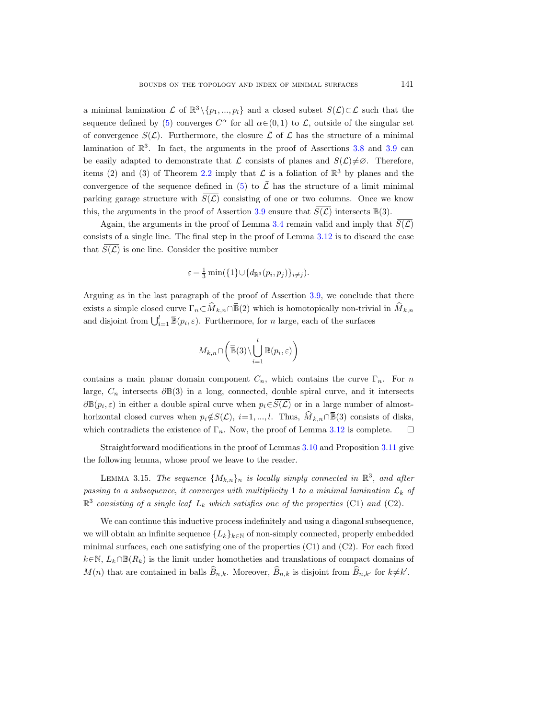a minimal lamination  $\mathcal L$  of  $\mathbb{R}^3 \setminus \{p_1, ..., p_l\}$  and a closed subset  $S(\mathcal L) \subset \mathcal L$  such that the sequence defined by [\(5\)](#page-27-1) converges  $C^{\alpha}$  for all  $\alpha \in (0,1)$  to  $\mathcal{L}$ , outside of the singular set of convergence  $S(\mathcal{L})$ . Furthermore, the closure  $\overline{\mathcal{L}}$  of  $\mathcal{L}$  has the structure of a minimal lamination of  $\mathbb{R}^3$ . In fact, the arguments in the proof of Assertions [3.8](#page-20-0) and [3.9](#page-21-0) can be easily adapted to demonstrate that  $\overline{L}$  consists of planes and  $S(\mathcal{L})\neq\emptyset$ . Therefore, items (2) and (3) of Theorem [2.2](#page-4-1) imply that  $\bar{\mathcal{L}}$  is a foliation of  $\mathbb{R}^3$  by planes and the convergence of the sequence defined in [\(5\)](#page-27-1) to  $\overline{\mathcal{L}}$  has the structure of a limit minimal parking garage structure with  $\overline{S(\mathcal{L})}$  consisting of one or two columns. Once we know this, the arguments in the proof of Assertion [3.9](#page-21-0) ensure that  $S(\mathcal{L})$  intersects  $\mathbb{B}(3)$ . items (2) and (3) of Theorem 2.2 imply that  $\overline{L}$  is a foliation of  $\mathbb{R}^3$  by planes and the<br>convergence of the sequence defined in (5) to  $\overline{L}$  has the structure of a limit minimal<br>parking garage structure with

Again, the arguments in the proof of Lemma [3.4](#page-13-0) remain valid and imply that  $\overline{S(\mathcal{L})}$ consists of a single line. The final step in the proof of Lemma [3.12](#page-24-0) is to discard the case that  $\overline{S(\mathcal{L})}$  is one line. Consider the positive number

$$
\varepsilon = \frac{1}{3} \min(\{1\} \cup \{d_{\mathbb{R}^3}(p_i, p_j)\}_{i \neq j}).
$$

Arguing as in the last paragraph of the proof of Assertion [3.9,](#page-21-0) we conclude that there and disjoint from  $\bigcup_{i=1}^{l} \overline{\mathbb{B}}(p_i, \varepsilon)$ . Furthermore, for n large, each of the surfaces

$$
M_{k,n} \cap \left(\overline{\mathbb{B}}(3) \setminus \bigcup_{i=1}^{l} \mathbb{B}(p_i, \varepsilon)\right)
$$

Arguing as in the last paragraph of the proof of Assertion 3.9, we conclude that there<br>exists a simple closed curve  $\Gamma_n \subset \hat{M}_{k,n} \cap \overline{\mathbb{B}}(2)$  which is homotopically non-trivial in  $\hat{M}_{k,n}$ <br>and disjoint from  $\bigcup_{i=1$ contains a main planar domain component  $C_n$ , which contains the curve  $\Gamma_n$ . For n large,  $C_n$  intersects  $\partial \mathbb{B}(3)$  in a long, connected, double spiral curve, and it intersects  $\partial \mathbb{B}(p_i, \varepsilon)$  in either a double spiral curve when  $p_i \in S(\mathcal{L})$  or in a large number of almostwhich contradicts the existence of  $\Gamma_n$ . Now, the proof of Lemma [3.12](#page-24-0) is complete.  $\Box$ 

Straightforward modifications in the proof of Lemmas [3.10](#page-22-0) and Proposition [3.11](#page-22-1) give the following lemma, whose proof we leave to the reader.

LEMMA 3.15. The sequence  $\{M_{k,n}\}_n$  is locally simply connected in  $\mathbb{R}^3$ , and after passing to a subsequence, it converges with multiplicity 1 to a minimal lamination  $\mathcal{L}_k$  of  $\mathbb{R}^3$  consisting of a single leaf  $L_k$  which satisfies one of the properties (C1) and (C2).

We can continue this inductive process indefinitely and using a diagonal subsequence, we will obtain an infinite sequence  ${L_k}_{k\in\mathbb{N}}$  of non-simply connected, properly embedded minimal surfaces, each one satisfying one of the properties (C1) and (C2). For each fixed  $k \in \mathbb{N}, L_k \cap \mathbb{B}(R_k)$  is the limit under homotheties and translations of compact domains of  $M(n)$  that are contained in balls  $B_{n,k}$ . Moreover,  $B_{n,k}$  is disjoint from  $B_{n,k'}$  for  $k \neq k'$ .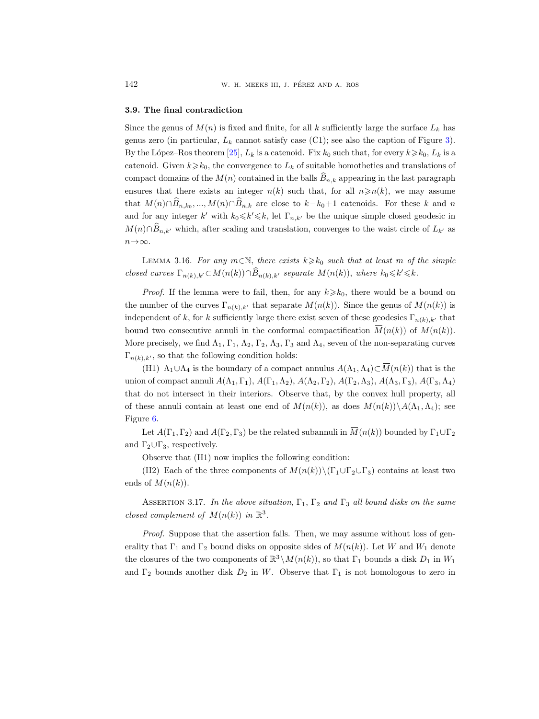#### 3.9. The final contradiction

Since the genus of  $M(n)$  is fixed and finite, for all k sufficiently large the surface  $L_k$  has genus zero (in particular,  $L_k$  cannot satisfy case (C1); see also the caption of Figure [3\)](#page-18-0). By the López–Ros theorem [\[25\]](#page-34-3),  $L_k$  is a catenoid. Fix  $k_0$  such that, for every  $k \geq k_0$ ,  $L_k$  is a catenoid. Given  $k\geq k_0$ , the convergence to  $L_k$  of suitable homotheties and translations of compact domains of the  $M(n)$  contained in the balls  $\hat{B}_{n,k}$  appearing in the last paragraph ensures that there exists an integer  $n(k)$  such that, for all  $n \ge n(k)$ , we may assume that  $M(n) \cap B_{n,k_0}, ..., M(n) \cap B_{n,k}$  are close to  $k-k_0+1$  catenoids. For these k and n and for any integer k' with  $k_0 \le k' \le k$ , let  $\Gamma_{n,k'}$  be the unique simple closed geodesic in  $M(n) \cap \widehat{B}_{n,k'}$  which, after scaling and translation, converges to the waist circle of  $L_{k'}$  as  $n \rightarrow \infty$ . bound two consecutive annuli in the conformal compactification  $\overline{M}(n(k))$  of  $M(n(k))$  and two consecutive annul in the conformal consecutive annul in the conformal consecutive annular  $M(n) \cap \widehat{B}_{n,k}$ , which, after scaling

<span id="page-29-1"></span>LEMMA 3.16. For any  $m \in \mathbb{N}$ , there exists  $k \geq k_0$  such that at least m of the simple closed curves  $\Gamma_{n(k),k'} \subset M(n(k)) \cap \widehat{B}_{n(k),k'}$  separate  $M(n(k))$ , where  $k_0 \le k' \le k$ .

*Proof.* If the lemma were to fail, then, for any  $k \geq k_0$ , there would be a bound on the number of the curves  $\Gamma_{n(k),k'}$  that separate  $M(n(k))$ . Since the genus of  $M(n(k))$  is independent of k, for k sufficiently large there exist seven of these geodesics  $\Gamma_{n(k),k'}$  that More precisely, we find  $\Lambda_1$ ,  $\Gamma_1$ ,  $\Lambda_2$ ,  $\Gamma_2$ ,  $\Lambda_3$ ,  $\Gamma_3$  and  $\Lambda_4$ , seven of the non-separating curves  $\Gamma_{n(k),k'}$ , so that the following condition holds: (H1) *H*<sub>n,k'</sub> which, atter scaling and translation, converges to the wast circle of  $L_{k'}$  as<br>  $\infty$ .<br>
LEMMA 3.16. For any  $m \in \mathbb{N}$ , there exists  $k \ge k_0$  such that at least m of the simple<br>
d curves  $\Gamma_{n(k),k'} \subset M(n(k))$ *Proof.* If the lemma were to fail, then, for any  $\kappa \ge \kappa_0$ , there would be a bound on<br>number of the curves  $\Gamma_{n(k),k'}$  that separate  $M(n(k))$ . Since the genus of  $M(n(k))$  is<br>pendent of k, for k sufficiently large there ex

union of compact annuli  $A(\Lambda_1,\Gamma_1), A(\Gamma_1,\Lambda_2), A(\Lambda_2,\Gamma_2), A(\Gamma_2,\Lambda_3), A(\Lambda_3,\Gamma_3), A(\Gamma_3,\Lambda_4)$ that do not intersect in their interiors. Observe that, by the convex hull property, all of these annuli contain at least one end of  $M(n(k))$ , as does  $M(n(k))\setminus A(\Lambda_1,\Lambda_4)$ ; see Figure [6.](#page-30-0)

and  $\Gamma_2 \cup \Gamma_3$ , respectively.

Observe that (H1) now implies the following condition:

(H2) Each of the three components of  $M(n(k))\setminus (\Gamma_1\cup\Gamma_2\cup\Gamma_3)$  contains at least two ends of  $M(n(k))$ .

<span id="page-29-0"></span>ASSERTION 3.17. In the above situation,  $\Gamma_1$ ,  $\Gamma_2$  and  $\Gamma_3$  all bound disks on the same closed complement of  $M(n(k))$  in  $\mathbb{R}^3$ .

Proof. Suppose that the assertion fails. Then, we may assume without loss of generality that  $\Gamma_1$  and  $\Gamma_2$  bound disks on opposite sides of  $M(n(k))$ . Let W and  $W_1$  denote the closures of the two components of  $\mathbb{R}^3 \setminus M(n(k))$ , so that  $\Gamma_1$  bounds a disk  $D_1$  in  $W_1$ and  $\Gamma_2$  bounds another disk  $D_2$  in W. Observe that  $\Gamma_1$  is not homologous to zero in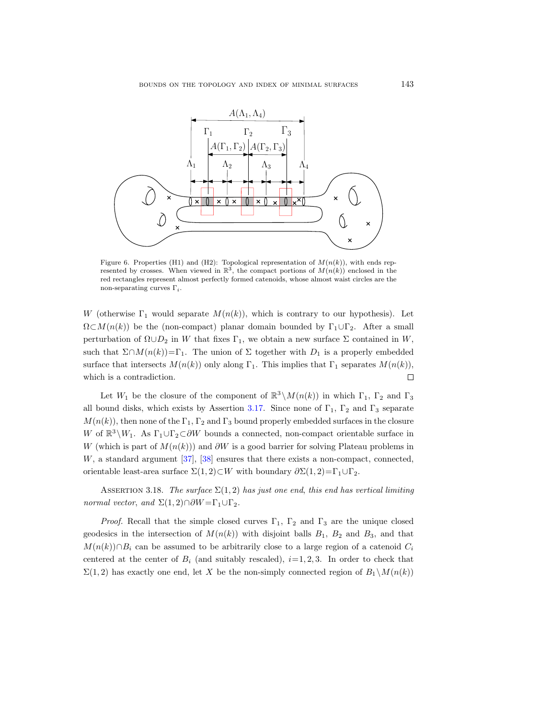

<span id="page-30-0"></span>Figure 6. Properties (H1) and (H2): Topological representation of  $M(n(k))$ , with ends represented by crosses. When viewed in  $\mathbb{R}^3$ , the compact portions of  $M(n(k))$  enclosed in the red rectangles represent almost perfectly formed catenoids, whose almost waist circles are the non-separating curves  $\Gamma_i$ .

W (otherwise  $\Gamma_1$  would separate  $M(n(k))$ , which is contrary to our hypothesis). Let  $\Omega \subset M(n(k))$  be the (non-compact) planar domain bounded by  $\Gamma_1 \cup \Gamma_2$ . After a small perturbation of  $\Omega \cup D_2$  in W that fixes  $\Gamma_1$ , we obtain a new surface  $\Sigma$  contained in W, such that  $\Sigma \cap M(n(k)) = \Gamma_1$ . The union of  $\Sigma$  together with  $D_1$  is a properly embedded surface that intersects  $M(n(k))$  only along  $\Gamma_1$ . This implies that  $\Gamma_1$  separates  $M(n(k))$ ,  $\Box$ which is a contradiction.

Let  $W_1$  be the closure of the component of  $\mathbb{R}^3 \setminus M(n(k))$  in which  $\Gamma_1$ ,  $\Gamma_2$  and  $\Gamma_3$ all bound disks, which exists by Assertion [3.17.](#page-29-0) Since none of  $\Gamma_1$ ,  $\Gamma_2$  and  $\Gamma_3$  separate  $M(n(k))$ , then none of the  $\Gamma_1$ ,  $\Gamma_2$  and  $\Gamma_3$  bound properly embedded surfaces in the closure W of  $\mathbb{R}^3 \setminus W_1$ . As  $\Gamma_1 \cup \Gamma_2 \subset \partial W$  bounds a connected, non-compact orientable surface in W (which is part of  $M(n(k))$ ) and ∂W is a good barrier for solving Plateau problems in W, a standard argument [\[37\]](#page-35-14), [\[38\]](#page-35-16) ensures that there exists a non-compact, connected, orientable least-area surface  $\Sigma(1,2) \subset W$  with boundary  $\partial \Sigma(1,2) = \Gamma_1 \cup \Gamma_2$ .

<span id="page-30-1"></span>ASSERTION 3.18. The surface  $\Sigma(1,2)$  has just one end, this end has vertical limiting normal vector, and  $\Sigma(1,2)\cap \partial W = \Gamma_1 \cup \Gamma_2$ .

*Proof.* Recall that the simple closed curves  $\Gamma_1$ ,  $\Gamma_2$  and  $\Gamma_3$  are the unique closed geodesics in the intersection of  $M(n(k))$  with disjoint balls  $B_1$ ,  $B_2$  and  $B_3$ , and that  $M(n(k)) \cap B_i$  can be assumed to be arbitrarily close to a large region of a catenoid  $C_i$ centered at the center of  $B_i$  (and suitably rescaled),  $i=1, 2, 3$ . In order to check that  $\Sigma(1,2)$  has exactly one end, let X be the non-simply connected region of  $B_1 \backslash M(n(k))$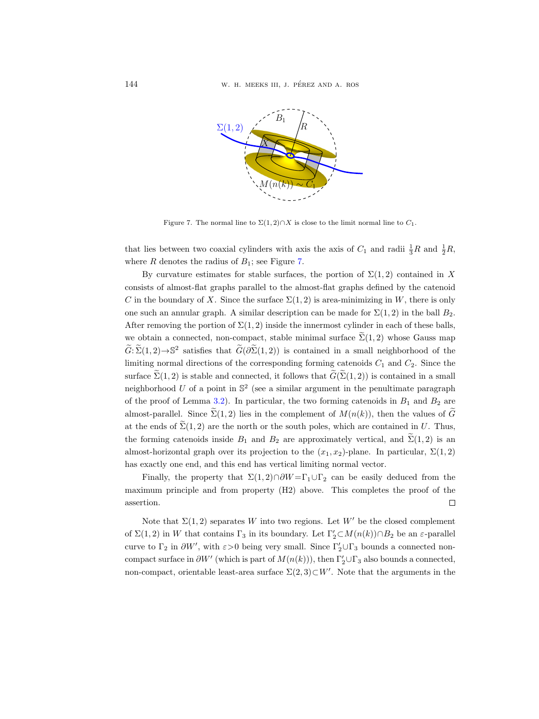

<span id="page-31-0"></span>Figure 7. The normal line to  $\Sigma(1,2)\cap X$  is close to the limit normal line to  $C_1$ .

that lies between two coaxial cylinders with axis the axis of  $C_1$  and radii  $\frac{1}{3}R$  and  $\frac{1}{2}R$ , where R denotes the radius of  $B_1$ ; see Figure [7.](#page-31-0)

By curvature estimates for stable surfaces, the portion of  $\Sigma(1,2)$  contained in X consists of almost-flat graphs parallel to the almost-flat graphs defined by the catenoid C in the boundary of X. Since the surface  $\Sigma(1,2)$  is area-minimizing in W, there is only one such an annular graph. A similar description can be made for  $\Sigma(1,2)$  in the ball  $B_2$ . After removing the portion of  $\Sigma(1,2)$  inside the innermost cylinder in each of these balls, we obtain a connected, non-compact, stable minimal surface  $\sum(1,2)$  whose Gauss map  $\widetilde{G}:\widetilde{\Sigma}(1,2)\to\mathbb{S}^2$  satisfies that  $\widetilde{G}(\partial\widetilde{\Sigma}(1,2))$  is contained in a small neighborhood of the limiting normal directions of the corresponding forming catenoids  $C_1$  and  $C_2$ . Since the surface  $\widetilde{\Sigma}(1,2)$  is stable and connected, it follows that  $\widetilde{G}(\widetilde{\Sigma}(1,2))$  is contained in a small neighborhood U of a point in  $\mathbb{S}^2$  (see a similar argument in the penultimate paragraph of the proof of Lemma [3.2\)](#page-9-1). In particular, the two forming catenoids in  $B_1$  and  $B_2$  are almost-parallel. Since  $\widetilde{\Sigma}(1,2)$  lies in the complement of  $M(n(k))$ , then the values of  $\widetilde{G}$ at the ends of  $\Sigma(1,2)$  are the north or the south poles, which are contained in U. Thus, the forming catenoids inside  $B_1$  and  $B_2$  are approximately vertical, and  $\tilde{\Sigma}(1,2)$  is an almost-horizontal graph over its projection to the  $(x_1, x_2)$ -plane. In particular,  $\Sigma(1, 2)$ has exactly one end, and this end has vertical limiting normal vector.

Finally, the property that  $\Sigma(1,2)\cap \partial W = \Gamma_1 \cup \Gamma_2$  can be easily deduced from the maximum principle and from property (H2) above. This completes the proof of the assertion.  $\Box$ 

Note that  $\Sigma(1,2)$  separates W into two regions. Let W' be the closed complement of  $\Sigma(1,2)$  in W that contains  $\Gamma_3$  in its boundary. Let  $\Gamma'_2 \subset M(n(k)) \cap B_2$  be an  $\varepsilon$ -parallel curve to  $\Gamma_2$  in  $\partial W'$ , with  $\varepsilon > 0$  being very small. Since  $\Gamma'_2 \cup \Gamma_3$  bounds a connected noncompact surface in  $\partial W'$  (which is part of  $M(n(k))$ ), then  $\Gamma'_2 \cup \Gamma_3$  also bounds a connected, non-compact, orientable least-area surface  $\Sigma(2,3) \subset W'$ . Note that the arguments in the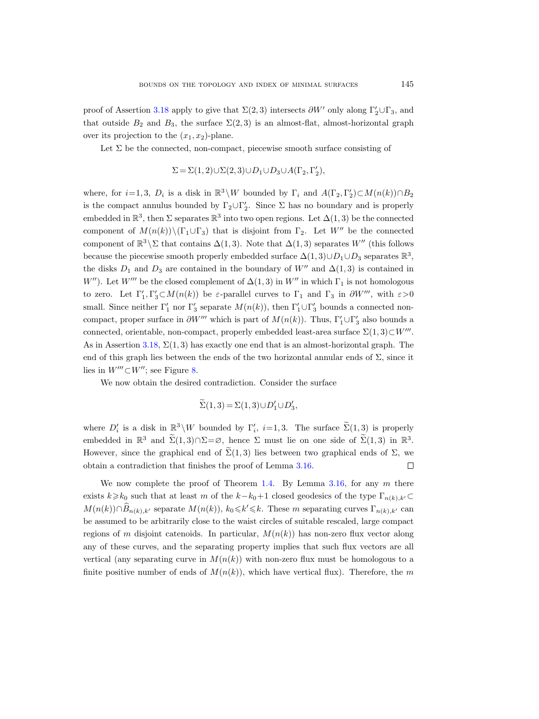proof of Assertion [3.18](#page-30-1) apply to give that  $\Sigma(2,3)$  intersects  $\partial W'$  only along  $\Gamma'_2 \cup \Gamma_3$ , and that outside  $B_2$  and  $B_3$ , the surface  $\Sigma(2,3)$  is an almost-flat, almost-horizontal graph over its projection to the  $(x_1, x_2)$ -plane.

Let  $\Sigma$  be the connected, non-compact, piecewise smooth surface consisting of

$$
\Sigma = \Sigma(1,2) \cup \Sigma(2,3) \cup D_1 \cup D_3 \cup A(\Gamma_2, \Gamma'_2),
$$

where, for  $i=1,3, D_i$  is a disk in  $\mathbb{R}^3 \setminus W$  bounded by  $\Gamma_i$  and  $A(\Gamma_2, \Gamma'_2) \subset M(n(k)) \cap B_2$ is the compact annulus bounded by  $\Gamma_2 \cup \Gamma'_2$ . Since  $\Sigma$  has no boundary and is properly embedded in  $\mathbb{R}^3$ , then  $\Sigma$  separates  $\mathbb{R}^3$  into two open regions. Let  $\Delta(1,3)$  be the connected component of  $M(n(k))\setminus(\Gamma_1\cup\Gamma_3)$  that is disjoint from  $\Gamma_2$ . Let W<sup>n</sup> be the connected component of  $\mathbb{R}^3 \setminus \Sigma$  that contains  $\Delta(1,3)$ . Note that  $\Delta(1,3)$  separates W'' (this follows because the piecewise smooth properly embedded surface  $\Delta(1,3) \cup D_1 \cup D_3$  separates  $\mathbb{R}^3$ , the disks  $D_1$  and  $D_3$  are contained in the boundary of W<sup>n</sup> and  $\Delta(1,3)$  is contained in W''). Let W''' be the closed complement of  $\Delta(1,3)$  in W'' in which  $\Gamma_1$  is not homologous to zero. Let  $\Gamma'_1, \Gamma'_3 \subset M(n(k))$  be  $\varepsilon$ -parallel curves to  $\Gamma_1$  and  $\Gamma_3$  in  $\partial W'''$ , with  $\varepsilon > 0$ small. Since neither  $\Gamma'_1$  nor  $\Gamma'_3$  separate  $M(n(k))$ , then  $\Gamma'_1 \cup \Gamma'_3$  bounds a connected noncompact, proper surface in  $\partial W'''$  which is part of  $M(n(k))$ . Thus,  $\Gamma'_1 \cup \Gamma'_3$  also bounds a connected, orientable, non-compact, properly embedded least-area surface  $\Sigma(1,3) \subset W'''$ . As in Assertion [3.18,](#page-30-1)  $\Sigma(1,3)$  has exactly one end that is an almost-horizontal graph. The end of this graph lies between the ends of the two horizontal annular ends of  $\Sigma$ , since it lies in  $W''' \subset W''$ ; see Figure [8.](#page-33-5)

We now obtain the desired contradiction. Consider the surface

$$
\widetilde{\Sigma}(1,3) = \Sigma(1,3) \cup D'_1 \cup D'_3,
$$

where  $D_i'$  is a disk in  $\mathbb{R}^3 \backslash W$  bounded by  $\Gamma_i'$ ,  $i=1,3$ . The surface  $\Sigma(1,3)$  is properly embedded in  $\mathbb{R}^3$  and  $\Sigma(1,3) \cap \Sigma = \emptyset$ , hence  $\Sigma$  must lie on one side of  $\Sigma(1,3)$  in  $\mathbb{R}^3$ . However, since the graphical end of  $\widetilde{\Sigma}(1,3)$  lies between two graphical ends of  $\Sigma$ , we obtain a contradiction that finishes the proof of Lemma [3.16.](#page-29-1)  $\Box$ 

We now complete the proof of Theorem [1.4.](#page-2-0) By Lemma [3.16,](#page-29-1) for any  $m$  there exists  $k\geq k_0$  such that at least m of the  $k-k_0+1$  closed geodesics of the type  $\Gamma_{n(k),k'}\subset$  $M(n(k)) \cap \widehat{B}_{n(k),k'}$  separate  $M(n(k))$ ,  $k_0 \le k' \le k$ . These m separating curves  $\Gamma_{n(k),k'}$  can be assumed to be arbitrarily close to the waist circles of suitable rescaled, large compact regions of m disjoint catenoids. In particular,  $M(n(k))$  has non-zero flux vector along any of these curves, and the separating property implies that such flux vectors are all vertical (any separating curve in  $M(n(k))$ ) with non-zero flux must be homologous to a finite positive number of ends of  $M(n(k))$ , which have vertical flux). Therefore, the m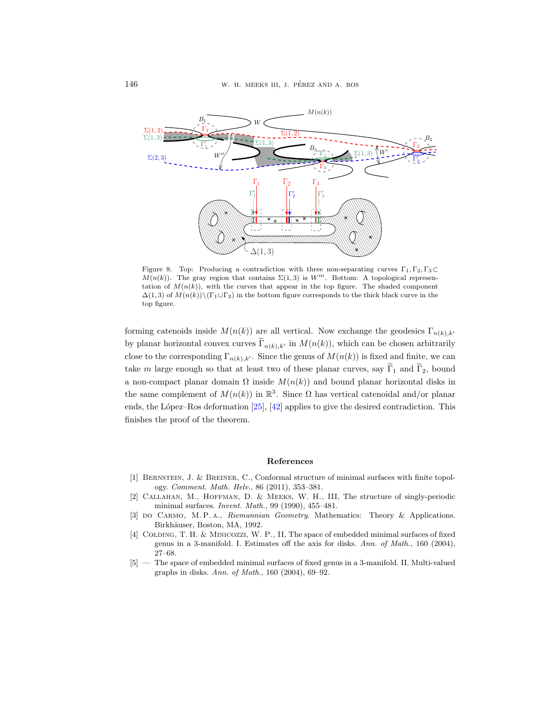

<span id="page-33-5"></span>Figure 8. Top: Producing a contradiction with three non-separating curves  $\Gamma_1, \Gamma_2, \Gamma_3 \subset$  $M(n(k))$ . The gray region that contains  $\Sigma(1,3)$  is W'''. Bottom: A topological representation of  $M(n(k))$ , with the curves that appear in the top figure. The shaded component  $\Delta(1,3)$  of  $M(n(k))\setminus(\Gamma_1\cup\Gamma_3)$  in the bottom figure corresponds to the thick black curve in the top figure.

forming catenoids inside  $M(n(k))$  are all vertical. Now exchange the geodesics  $\Gamma_{n(k),k'}$ by planar horizontal convex curves  $\Gamma_{n(k),k'}$  in  $M(n(k))$ , which can be chosen arbitrarily close to the corresponding  $\Gamma_{n(k),k'}$ . Since the genus of  $M(n(k))$  is fixed and finite, we can take m large enough so that at least two of these planar curves, say  $\widetilde{\Gamma}_1$  and  $\widetilde{\Gamma}_2$ , bound a non-compact planar domain  $\Omega$  inside  $M(n(k))$  and bound planar horizontal disks in the same complement of  $M(n(k))$  in  $\mathbb{R}^3$ . Since  $\Omega$  has vertical catenoidal and/or planar ends, the López–Ros deformation  $[25]$ ,  $[42]$  applies to give the desired contradiction. This finishes the proof of the theorem.

#### References

- <span id="page-33-0"></span>[1] Bernstein, J. & Breiner, C., Conformal structure of minimal surfaces with finite topology. Comment. Math. Helv., 86 (2011), 353–381.
- <span id="page-33-3"></span>[2] Callahan, M., Hoffman, D. & Meeks, W. H., III, The structure of singly-periodic minimal surfaces. Invent. Math., 99 (1990), 455–481.
- <span id="page-33-4"></span>[3] do Carmo, M. P. A., Riemannian Geometry. Mathematics: Theory & Applications. Birkhäuser, Boston, MA, 1992.
- <span id="page-33-1"></span>[4] COLDING, T. H. & MINICOZZI, W. P., II, The space of embedded minimal surfaces of fixed genus in a 3-manifold. I. Estimates off the axis for disks. Ann. of Math., 160 (2004), 27–68.
- <span id="page-33-2"></span>[5] — The space of embedded minimal surfaces of fixed genus in a 3-manifold. II. Multi-valued graphs in disks. Ann. of Math., 160 (2004), 69–92.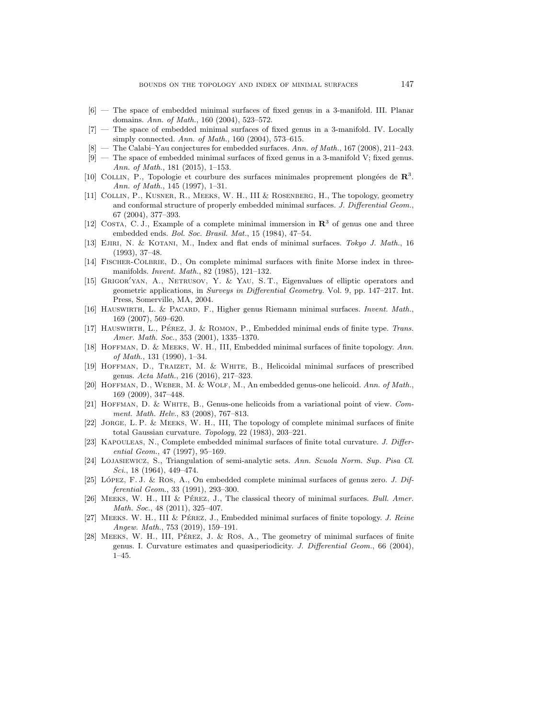- <span id="page-34-18"></span>[6] — The space of embedded minimal surfaces of fixed genus in a 3-manifold. III. Planar domains. Ann. of Math., 160 (2004), 523–572.
- <span id="page-34-19"></span>[7] — The space of embedded minimal surfaces of fixed genus in a 3-manifold. IV. Locally simply connected. Ann. of Math., 160 (2004), 573–615.
- <span id="page-34-14"></span> $[8]$  — The Calabi–Yau conjectures for embedded surfaces. Ann. of Math., 167 (2008), 211–243.
- <span id="page-34-20"></span>[9] — The space of embedded minimal surfaces of fixed genus in a 3-manifold V; fixed genus. Ann. of Math., 181 (2015), 1–153.
- <span id="page-34-1"></span>[10] COLLIN, P., Topologie et courbure des surfaces minimales proprement plongées de  $\mathbb{R}^3$ . Ann. of Math., 145 (1997), 1–31.
- <span id="page-34-11"></span>[11] Collin, P., Kusner, R., Meeks, W. H., III & Rosenberg, H., The topology, geometry and conformal structure of properly embedded minimal surfaces. J. Differential Geom., 67 (2004), 377–393.
- <span id="page-34-4"></span>[12] COSTA, C. J., Example of a complete minimal immersion in  $\mathbb{R}^3$  of genus one and three embedded ends. Bol. Soc. Brasil. Mat., 15 (1984), 47–54.
- <span id="page-34-17"></span>[13] EJIRI, N. & KOTANI, M., Index and flat ends of minimal surfaces. Tokyo J. Math., 16 (1993), 37–48.
- <span id="page-34-15"></span>[14] Fischer-Colbrie, D., On complete minimal surfaces with finite Morse index in threemanifolds. Invent. Math., 82 (1985), 121–132.
- <span id="page-34-16"></span>[15] GRIGOR'YAN, A., NETRUSOV, Y. & YAU, S. T., Eigenvalues of elliptic operators and geometric applications, in Surveys in Differential Geometry. Vol. 9, pp. 147–217. Int. Press, Somerville, MA, 2004.
- <span id="page-34-13"></span>[16] HAUSWIRTH, L. & PACARD, F., Higher genus Riemann minimal surfaces. *Invent. Math.*, 169 (2007), 569–620.
- <span id="page-34-22"></span>[17] HAUSWIRTH, L., PÉREZ, J. & ROMON, P., Embedded minimal ends of finite type. Trans. Amer. Math. Soc., 353 (2001), 1335–1370.
- <span id="page-34-5"></span>[18] HOFFMAN, D. & MEEKS, W. H., III, Embedded minimal surfaces of finite topology. Ann. of Math., 131 (1990), 1–34.
- <span id="page-34-10"></span>[19] Hoffman, D., Traizet, M. & White, B., Helicoidal minimal surfaces of prescribed genus. Acta Math., 216 (2016), 217–323.
- <span id="page-34-9"></span>[20] HOFFMAN, D., WEBER, M. & WOLF, M., An embedded genus-one helicoid. Ann. of Math., 169 (2009), 347–448.
- <span id="page-34-8"></span>[21] Hoffman, D. & White, B., Genus-one helicoids from a variational point of view. Comment. Math. Helv., 83 (2008), 767–813.
- <span id="page-34-2"></span>[22] Jorge, L. P. & Meeks, W. H., III, The topology of complete minimal surfaces of finite total Gaussian curvature. Topology, 22 (1983), 203–221.
- <span id="page-34-6"></span>[23] KAPOULEAS, N., Complete embedded minimal surfaces of finite total curvature. J. Differential Geom., 47 (1997), 95–169.
- <span id="page-34-21"></span>[24] Lojasiewicz, S., Triangulation of semi-analytic sets. Ann. Scuola Norm. Sup. Pisa Cl. Sci., 18 (1964), 449–474.
- <span id="page-34-3"></span>[25] LÓPEZ, F. J. & ROS, A., On embedded complete minimal surfaces of genus zero. J. Differential Geom., 33 (1991), 293–300.
- <span id="page-34-0"></span>[26] MEEKS, W. H., III & PÉREZ, J., The classical theory of minimal surfaces. Bull. Amer. Math. Soc., 48 (2011), 325-407.
- <span id="page-34-7"></span>[27] MEEKS. W. H., III & PÉREZ, J., Embedded minimal surfaces of finite topology. J. Reine Angew. Math., 753 (2019), 159–191.
- <span id="page-34-12"></span>[28] MEEKS, W. H., III, PÉREZ, J. & ROS, A., The geometry of minimal surfaces of finite genus. I. Curvature estimates and quasiperiodicity. J. Differential Geom., 66 (2004), 1–45.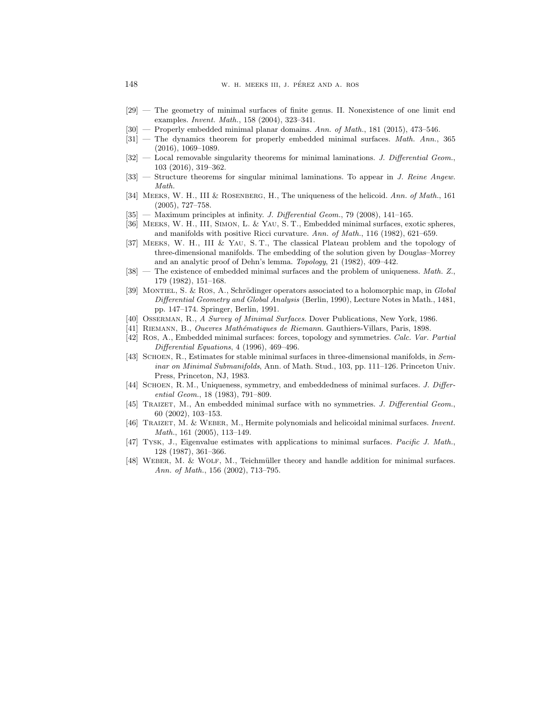- <span id="page-35-6"></span>[29] — The geometry of minimal surfaces of finite genus. II. Nonexistence of one limit end examples. Invent. Math., 158 (2004), 323–341.
- <span id="page-35-8"></span> $[30]$  — Properly embedded minimal planar domains. Ann. of Math., 181 (2015), 473–546.
- <span id="page-35-13"></span>[31] — The dynamics theorem for properly embedded minimal surfaces. Math. Ann., 365 (2016), 1069–1089.
- <span id="page-35-9"></span> $[32]$  — Local removable singularity theorems for minimal laminations. J. Differential Geom., 103 (2016), 319–362.
- <span id="page-35-10"></span>[33] — Structure theorems for singular minimal laminations. To appear in J. Reine Angew. Math.
- <span id="page-35-4"></span>[34] MEEKS, W. H., III & ROSENBERG, H., The uniqueness of the helicoid. Ann. of Math., 161 (2005), 727–758.
- <span id="page-35-15"></span>[35] — Maximum principles at infinity. J. Differential Geom., 79 (2008), 141–165.
- <span id="page-35-17"></span>[36] Meeks, W. H., III, Simon, L. & Yau, S. T., Embedded minimal surfaces, exotic spheres, and manifolds with positive Ricci curvature. Ann. of Math., 116 (1982), 621–659.
- <span id="page-35-14"></span>[37] Meeks, W. H., III & Yau, S. T., The classical Plateau problem and the topology of three-dimensional manifolds. The embedding of the solution given by Douglas–Morrey and an analytic proof of Dehn's lemma. Topology, 21 (1982), 409–442.
- <span id="page-35-16"></span> $[38]$  — The existence of embedded minimal surfaces and the problem of uniqueness. Math. Z., 179 (1982), 151–168.
- <span id="page-35-12"></span>[39] MONTIEL, S. & ROS, A., Schrödinger operators associated to a holomorphic map, in Global Differential Geometry and Global Analysis (Berlin, 1990), Lecture Notes in Math., 1481, pp. 147–174. Springer, Berlin, 1991.
- <span id="page-35-0"></span>[40] Osserman, R., A Survey of Minimal Surfaces. Dover Publications, New York, 1986.
- <span id="page-35-7"></span>[41] Riemann, B., Ouevres Math´ematiques de Riemann. Gauthiers-Villars, Paris, 1898.
- <span id="page-35-19"></span>[42] Ros, A., Embedded minimal surfaces: forces, topology and symmetries. Calc. Var. Partial Differential Equations, 4 (1996), 469–496.
- <span id="page-35-18"></span>[43] SCHOEN, R., Estimates for stable minimal surfaces in three-dimensional manifolds, in Seminar on Minimal Submanifolds, Ann. of Math. Stud., 103, pp. 111–126. Princeton Univ. Press, Princeton, NJ, 1983.
- <span id="page-35-1"></span>[44] SCHOEN, R. M., Uniqueness, symmetry, and embeddedness of minimal surfaces. J. Differential Geom., 18 (1983), 791–809.
- <span id="page-35-2"></span>[45] TRAIZET, M., An embedded minimal surface with no symmetries. J. Differential Geom., 60 (2002), 103–153.
- <span id="page-35-5"></span>[46] TRAIZET, M. & WEBER, M., Hermite polynomials and helicoidal minimal surfaces. Invent. Math., 161 (2005), 113–149.
- <span id="page-35-11"></span>[47] Tysk, J., Eigenvalue estimates with applications to minimal surfaces. Pacific J. Math., 128 (1987), 361–366.
- <span id="page-35-3"></span> $[48]$  WEBER, M. & WOLF, M., Teichmüller theory and handle addition for minimal surfaces. Ann. of Math., 156 (2002), 713–795.